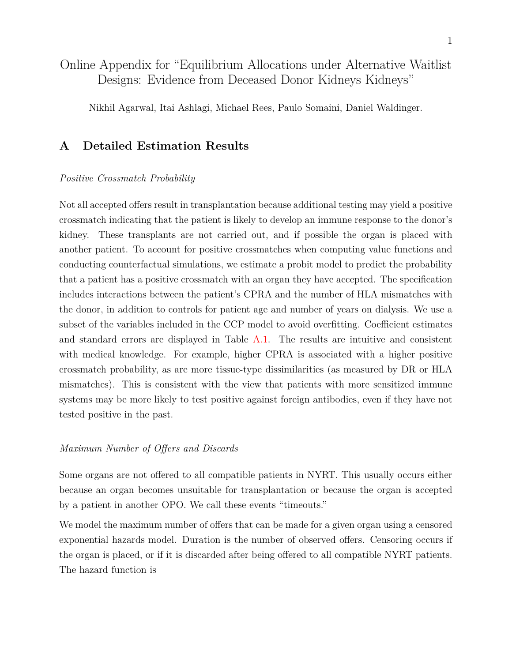# <span id="page-0-0"></span>Online Appendix for "Equilibrium Allocations under Alternative Waitlist Designs: Evidence from Deceased Donor Kidneys Kidneys"

Nikhil Agarwal, Itai Ashlagi, Michael Rees, Paulo Somaini, Daniel Waldinger.

# <span id="page-0-1"></span>**A Detailed Estimation Results**

#### *Positive Crossmatch Probability*

Not all accepted offers result in transplantation because additional testing may yield a positive crossmatch indicating that the patient is likely to develop an immune response to the donor's kidney. These transplants are not carried out, and if possible the organ is placed with another patient. To account for positive crossmatches when computing value functions and conducting counterfactual simulations, we estimate a probit model to predict the probability that a patient has a positive crossmatch with an organ they have accepted. The specification includes interactions between the patient's CPRA and the number of HLA mismatches with the donor, in addition to controls for patient age and number of years on dialysis. We use a subset of the variables included in the CCP model to avoid overfitting. Coefficient estimates and standard errors are displayed in Table [A.1.](#page-1-0) The results are intuitive and consistent with medical knowledge. For example, higher CPRA is associated with a higher positive crossmatch probability, as are more tissue-type dissimilarities (as measured by DR or HLA mismatches). This is consistent with the view that patients with more sensitized immune systems may be more likely to test positive against foreign antibodies, even if they have not tested positive in the past.

## *Maximum Number of Offers and Discards*

Some organs are not offered to all compatible patients in NYRT. This usually occurs either because an organ becomes unsuitable for transplantation or because the organ is accepted by a patient in another OPO. We call these events "timeouts."

We model the maximum number of offers that can be made for a given organ using a censored exponential hazards model. Duration is the number of observed offers. Censoring occurs if the organ is placed, or if it is discarded after being offered to all compatible NYRT patients. The hazard function is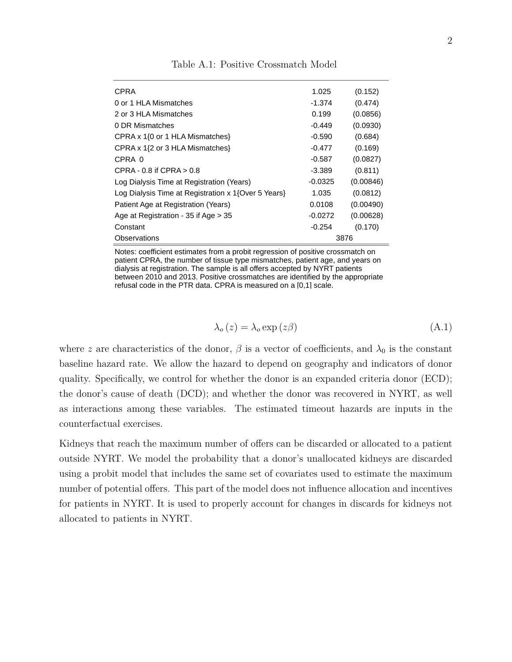<span id="page-1-0"></span>

| <b>CPRA</b>                                         | 1.025     | (0.152)   |
|-----------------------------------------------------|-----------|-----------|
| 0 or 1 HLA Mismatches                               | -1.374    | (0.474)   |
| 2 or 3 HLA Mismatches                               | 0.199     | (0.0856)  |
| 0 DR Mismatches                                     | $-0.449$  | (0.0930)  |
| CPRA x 1{0 or 1 HLA Mismatches}                     | -0.590    | (0.684)   |
| CPRA $\times$ 1{2 or 3 HLA Mismatches}              | $-0.477$  | (0.169)   |
| CPRA 0                                              | $-0.587$  | (0.0827)  |
| CPRA - $0.8$ if CPRA $> 0.8$                        | -3.389    | (0.811)   |
| Log Dialysis Time at Registration (Years)           | $-0.0325$ | (0.00846) |
| Log Dialysis Time at Registration x 1{Over 5 Years} | 1.035     | (0.0812)  |
| Patient Age at Registration (Years)                 | 0.0108    | (0.00490) |
| Age at Registration - 35 if Age > 35                | $-0.0272$ | (0.00628) |
| Constant                                            | $-0.254$  | (0.170)   |
| Observations                                        |           | 3876      |

Table A.1: Positive Crossmatch Model dependent Variable: Positive Crossmatch 110 and

Notes: coefficient estimates from a probit regression of positive crossmatch on patient CPRA, the number of tissue type mismatches, patient age, and years on dialysis at registration. The sample is all offers accepted by NYRT patients between 2010 and 2013. Positive crossmatches are identified by the appropriate refusal code in the PTR data. CPRA is measured on a [0,1] scale.

<span id="page-1-1"></span>
$$
\lambda_o(z) = \lambda_o \exp(z\beta) \tag{A.1}
$$

where *z* are characteristics of the donor,  $\beta$  is a vector of coefficients, and  $\lambda_0$  is the constant baseline hazard rate. We allow the hazard to depend on geography and indicators of donor quality. Specifically, we control for whether the donor is an expanded criteria donor (ECD); the donor's cause of death (DCD); and whether the donor was recovered in NYRT, as well as interactions among these variables. The estimated timeout hazards are inputs in the counterfactual exercises.

Kidneys that reach the maximum number of offers can be discarded or allocated to a patient outside NYRT. We model the probability that a donor's unallocated kidneys are discarded using a probit model that includes the same set of covariates used to estimate the maximum number of potential offers. This part of the model does not influence allocation and incentives for patients in NYRT. It is used to properly account for changes in discards for kidneys not allocated to patients in NYRT.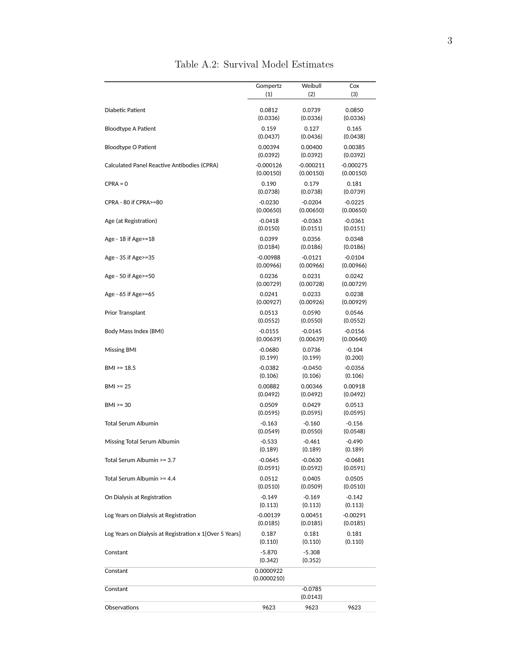|                                                         | Gompertz                 | Weibull               | Cox         |
|---------------------------------------------------------|--------------------------|-----------------------|-------------|
|                                                         | (1)                      | (2)                   | (3)         |
| Diabetic Patient                                        | 0.0812                   | 0.0739                | 0.0850      |
|                                                         | (0.0336)                 | (0.0336)              | (0.0336)    |
| Bloodtype A Patient                                     | 0.159                    | 0.127                 | 0.165       |
|                                                         | (0.0437)                 | (0.0436)              | (0.0438)    |
| Bloodtype O Patient                                     | 0.00394                  | 0.00400               | 0.00385     |
|                                                         | (0.0392)                 | (0.0392)              | (0.0392)    |
| Calculated Panel Reactive Antibodies (CPRA)             | $-0.000126$              | $-0.000211$           | $-0.000275$ |
|                                                         | (0.00150)                | (0.00150)             | (0.00150)   |
| $CPRA = 0$                                              | 0.190                    | 0.179                 | 0.181       |
|                                                         | (0.0738)                 | (0.0738)              | (0.0739)    |
| CPRA - 80 if CPRA>=80                                   | $-0.0230$                | $-0.0204$             | $-0.0225$   |
|                                                         | (0.00650)                | (0.00650)             | (0.00650)   |
| Age (at Registration)                                   | $-0.0418$                | $-0.0363$             | $-0.0361$   |
|                                                         | (0.0150)                 | (0.0151)              | (0.0151)    |
| Age - $18$ if Age $\ge$ = $18$                          | 0.0399                   | 0.0356                | 0.0348      |
|                                                         | (0.0184)                 | (0.0186)              | (0.0186)    |
| Age - 35 if Age > = 35                                  | $-0.00988$               | -0.0121               | $-0.0104$   |
|                                                         | (0.00966)                | (0.00966)             | (0.00966)   |
| Age - 50 if Age > = 50                                  | 0.0236                   | 0.0231                | 0.0242      |
|                                                         | (0.00729)                | (0.00728)             | (0.00729)   |
| Age - 65 if Age > = 65                                  | 0.0241                   | 0.0233                | 0.0238      |
|                                                         | (0.00927)                | (0.00926)             | (0.00929)   |
| <b>Prior Transplant</b>                                 | 0.0513                   | 0.0590                | 0.0546      |
|                                                         | (0.0552)                 | (0.0550)              | (0.0552)    |
| Body Mass Index (BMI)                                   | $-0.0155$                | $-0.0145$             | $-0.0156$   |
|                                                         | (0.00639)                | (0.00639)             | (0.00640)   |
| Missing BMI                                             | $-0.0680$                | 0.0736                | $-0.104$    |
|                                                         | (0.199)                  | (0.199)               | (0.200)     |
| $BM \ge 18.5$                                           | $-0.0382$                | $-0.0450$             | $-0.0356$   |
|                                                         | (0.106)                  | (0.106)               | (0.106)     |
| $BMI > = 25$                                            | 0.00882                  | 0.00346               | 0.00918     |
|                                                         | (0.0492)                 | (0.0492)              | (0.0492)    |
| $BMI > = 30$                                            | 0.0509                   | 0.0429                | 0.0513      |
|                                                         | (0.0595)                 | (0.0595)              | (0.0595)    |
| Total Serum Albumin                                     | $-0.163$                 | $-0.160$              | $-0.156$    |
|                                                         | (0.0549)                 | (0.0550)              | (0.0548)    |
| Missing Total Serum Albumin                             | $-0.533$                 | $-0.461$              | $-0.490$    |
|                                                         | (0.189)                  | (0.189)               | (0.189)     |
| Total Serum Albumin >= 3.7                              | $-0.0645$                | $-0.0630$             | $-0.0681$   |
|                                                         | (0.0591)                 | (0.0592)              | (0.0591)    |
| Total Serum Albumin >= 4.4                              | 0.0512                   | 0.0405                | 0.0505      |
|                                                         | (0.0510)                 | (0.0509)              | (0.0510)    |
| On Dialysis at Registration                             | $-0.149$                 | $-0.169$              | $-0.142$    |
|                                                         | (0.113)                  | (0.113)               | (0.113)     |
| Log Years on Dialysis at Registration                   | $-0.00139$               | 0.00451               | $-0.00291$  |
|                                                         | (0.0185)                 | (0.0185)              | (0.0185)    |
| Log Years on Dialysis at Registration x 1{Over 5 Years} | 0.187                    | 0.181                 | 0.181       |
|                                                         | (0.110)                  | (0.110)               | (0.110)     |
| Constant                                                | $-5.870$<br>(0.342)      | $-5.308$<br>(0.352)   |             |
| Constant                                                | 0.0000922<br>(0.0000210) |                       |             |
| Constant                                                |                          | $-0.0785$<br>(0.0143) |             |
| Observations                                            | 9623                     | 9623                  | 9623        |

Table A.2: Survival Model Estimates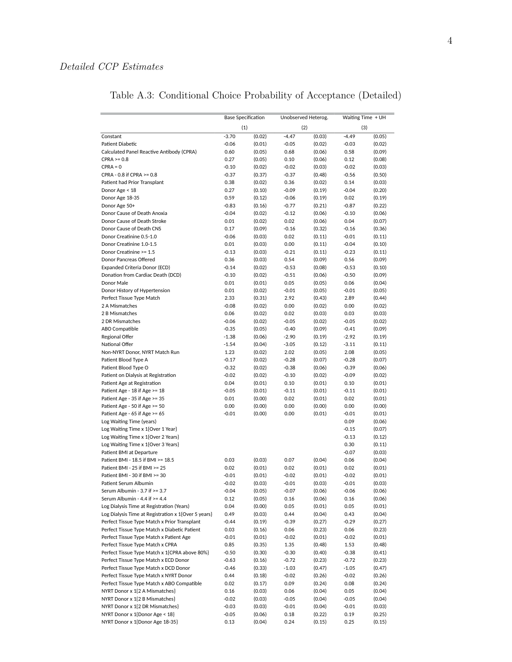# *Detailed CCP Estimates*

|                                                                | <b>Base Specification</b> |                  | Unobserved Heterog. |                  |                 | Waiting Time + UH |
|----------------------------------------------------------------|---------------------------|------------------|---------------------|------------------|-----------------|-------------------|
|                                                                | (1)                       |                  | (2)                 |                  |                 | (3)               |
| Constant                                                       | $-3.70$                   | (0.02)           | $-4.47$             | (0.03)           | $-4.49$         | (0.05)            |
| Patient Diabetic                                               | $-0.06$                   | (0.01)           | $-0.05$             | (0.02)           | $-0.03$         | (0.02)            |
| Calculated Panel Reactive Antibody (CPRA)                      | 0.60                      | (0.05)           | 0.68                | (0.06)           | 0.58            | (0.09)            |
| $CPRA \ge 0.8$                                                 | 0.27                      | (0.05)           | 0.10                | (0.06)           | 0.12            | (0.08)            |
| $CPRA = 0$                                                     | $-0.10$                   | (0.02)           | $-0.02$             | (0.03)           | $-0.02$         | (0.03)            |
| CPRA - 0.8 if CPRA >= 0.8                                      | $-0.37$                   | (0.37)           | $-0.37$             | (0.48)           | $-0.56$         | (0.50)            |
| Patient had Prior Transplant                                   | 0.38                      | (0.02)           | 0.36                | (0.02)           | 0.14            | (0.03)            |
| Donor Age < 18                                                 | 0.27                      | (0.10)           | $-0.09$             | (0.19)           | $-0.04$         | (0.20)            |
| Donor Age 18-35                                                | 0.59                      | (0.12)           | $-0.06$             | (0.19)           | 0.02            | (0.19)            |
| Donor Age 50+                                                  | $-0.83$                   | (0.16)           | $-0.77$             | (0.21)           | $-0.87$         | (0.22)            |
| Donor Cause of Death Anoxia                                    | $-0.04$                   | (0.02)           | $-0.12$             | (0.06)           | $-0.10$         | (0.06)            |
| Donor Cause of Death Stroke                                    | 0.01                      | (0.02)           | 0.02                | (0.06)           | 0.04            | (0.07)            |
| Donor Cause of Death CNS                                       | 0.17                      | (0.09)           | $-0.16$             | (0.32)           | $-0.16$         | (0.36)            |
| Donor Creatinine 0.5-1.0                                       | $-0.06$                   | (0.03)           | 0.02                | (0.11)           | $-0.01$         | (0.11)            |
| Donor Creatinine 1.0-1.5                                       | 0.01                      | (0.03)           | 0.00                | (0.11)           | $-0.04$         | (0.10)            |
| Donor Creatinine >= 1.5                                        | $-0.13$                   | (0.03)           | $-0.21$             | (0.11)           | $-0.23$         | (0.11)            |
| Donor Pancreas Offered                                         | 0.36                      | (0.03)           | 0.54                | (0.09)           | 0.56            | (0.09)            |
| Expanded Criteria Donor (ECD)                                  | $-0.14$                   | (0.02)           | $-0.53$             | (0.08)           | $-0.53$         | (0.10)            |
| Donation from Cardiac Death (DCD)                              | $-0.10$                   | (0.02)           | $-0.51$             | (0.06)           | $-0.50$         | (0.09)            |
| Donor Male                                                     | 0.01                      | (0.01)           | 0.05                | (0.05)           | 0.06            | (0.04)            |
| Donor History of Hypertension                                  | 0.01                      | (0.02)           | $-0.01$             | (0.05)           | $-0.01$         | (0.05)            |
| Perfect Tissue Type Match                                      | 2.33                      | (0.31)           | 2.92                | (0.43)           | 2.89            | (0.44)            |
| 2 A Mismatches                                                 | $-0.08$                   | (0.02)           | 0.00                | (0.02)           | 0.00            | (0.02)            |
| 2 B Mismatches                                                 | 0.06                      | (0.02)           | 0.02                | (0.03)           | 0.03            | (0.03)            |
| 2 DR Mismatches                                                | $-0.06$                   | (0.02)           | $-0.05$             | (0.02)           | $-0.05$         | (0.02)            |
| ABO Compatible                                                 | $-0.35$                   | (0.05)           | $-0.40$             | (0.09)           | $-0.41$         | (0.09)            |
| Regional Offer                                                 | $-1.38$                   | (0.06)           | $-2.90$             | (0.19)           | $-2.92$         | (0.19)            |
| National Offer                                                 | $-1.54$                   | (0.04)           | $-3.05$             | (0.12)           | $-3.11$         | (0.11)            |
| Non-NYRT Donor, NYRT Match Run                                 | 1.23                      | (0.02)           | 2.02                | (0.05)           | 2.08            | (0.05)            |
| Patient Blood Type A                                           | $-0.17$                   | (0.02)           | $-0.28$             | (0.07)           | $-0.28$         | (0.07)            |
| Patient Blood Type O                                           | $-0.32$                   | (0.02)           | $-0.38$             | (0.06)           | $-0.39$         | (0.06)            |
| Patient on Dialysis at Registration                            | $-0.02$<br>0.04           | (0.02)           | $-0.10$             | (0.02)           | $-0.09$         | (0.02)            |
| Patient Age at Registration                                    |                           | (0.01)           | 0.10                | (0.01)           | 0.10            | (0.01)            |
| Patient Age - 18 if Age >= 18<br>Patient Age - 35 if Age >= 35 | $-0.05$<br>0.01           | (0.01)<br>(0.00) | $-0.11$<br>0.02     | (0.01)<br>(0.01) | $-0.11$<br>0.02 | (0.01)<br>(0.01)  |
| Patient Age - 50 if Age >= 50                                  | 0.00                      | (0.00)           | 0.00                | (0.00)           | 0.00            | (0.00)            |
| Patient Age - 65 if Age $>= 65$                                | $-0.01$                   | (0.00)           | 0.00                | (0.01)           | $-0.01$         | (0.01)            |
| Log Waiting Time (years)                                       |                           |                  |                     |                  | 0.09            | (0.06)            |
| Log Waiting Time x 1{Over 1 Year}                              |                           |                  |                     |                  | $-0.15$         | (0.07)            |
| Log Waiting Time x 1{Over 2 Years}                             |                           |                  |                     |                  | $-0.13$         | (0.12)            |
| Log Waiting Time x 1{Over 3 Years}                             |                           |                  |                     |                  | 0.30            | (0.11)            |
| Patient BMI at Departure                                       |                           |                  |                     |                  | $-0.07$         | (0.03)            |
| Patient BMI - 18.5 if BMI >= 18.5                              | 0.03                      | (0.03)           | 0.07                | (0.04)           | 0.06            | (0.04)            |
| Patient BMI - 25 if BMI >= 25                                  | 0.02                      | (0.01)           | 0.02                | (0.01)           | 0.02            | (0.01)            |
| Patient BMI - 30 if BMI >= 30                                  | $-0.01$                   | (0.01)           | $-0.02$             | (0.01)           | $-0.02$         | (0.01)            |
| Patient Serum Albumin                                          | $-0.02$                   | (0.03)           | 0.01                | (0.03)           | 0.01            | (0.03)            |
| Serum Albumin - 3.7 if >= 3.7                                  | $-0.04$                   | (0.05)           | $-0.07$             | (0.06)           | $-0.06$         | (0.06)            |
| Serum Albumin - 4.4 if >= 4.4                                  | 0.12                      | (0.05)           | 0.16                | (0.06)           | 0.16            | (0.06)            |
| Log Dialysis Time at Registration (Years)                      | 0.04                      | (0.00)           | 0.05                | (0.01)           | 0.05            | (0.01)            |
| Log Dialysis Time at Registration x 1{Over 5 years}            | 0.49                      | (0.03)           | 0.44                | (0.04)           | 0.43            | (0.04)            |
| Perfect Tissue Type Match x Prior Transplant                   | $-0.44$                   | (0.19)           | $-0.39$             | (0.27)           | $-0.29$         | (0.27)            |
| Perfect Tissue Type Match x Diabetic Patient                   | 0.03                      | (0.16)           | 0.06                | (0.23)           | 0.06            | (0.23)            |
| Perfect Tissue Type Match x Patient Age                        | $-0.01$                   | (0.01)           | $-0.02$             | (0.01)           | $-0.02$         | (0.01)            |
| Perfect Tissue Type Match x CPRA                               | 0.85                      | (0.35)           | 1.35                | (0.48)           | 1.53            | (0.48)            |
| Perfect Tissue Type Match x 1{CPRA above 80%}                  | $-0.50$                   | (0.30)           | $-0.30$             | (0.40)           | $-0.38$         | (0.41)            |
| Perfect Tissue Type Match x ECD Donor                          | $-0.63$                   | (0.16)           | $-0.72$             | (0.23)           | $-0.72$         | (0.23)            |
| Perfect Tissue Type Match x DCD Donor                          | $-0.46$                   | (0.33)           | $-1.03$             | (0.47)           | $-1.05$         | (0.47)            |
| Perfect Tissue Type Match x NYRT Donor                         | 0.44                      | (0.18)           | $-0.02$             | (0.26)           | $-0.02$         | (0.26)            |
| Perfect Tissue Type Match x ABO Compatible                     | 0.02                      | (0.17)           | 0.09                | (0.24)           | 0.08            | (0.24)            |
| NYRT Donor x 1{2 A Mismatches}                                 | 0.16                      | (0.03)           | 0.06                | (0.04)           | 0.05            | (0.04)            |
| NYRT Donor x 1{2 B Mismatches}                                 | $-0.02$                   | (0.03)           | $-0.05$             | (0.04)           | $-0.05$         | (0.04)            |
| NYRT Donor x 1{2 DR Mismatches}                                | $-0.03$                   | (0.03)           | $-0.01$             | (0.04)           | $-0.01$         | (0.03)            |
| NYRT Donor x 1{Donor Age < 18}                                 | $-0.05$                   | (0.06)           | 0.18                | (0.22)           | 0.19            | (0.25)            |
| NYRT Donor x 1{Donor Age 18-35}                                | 0.13                      | (0.04)           | 0.24                | (0.15)           | 0.25            | (0.15)            |

Table A.3: Conditional Choice Probability of Acceptance (Detailed)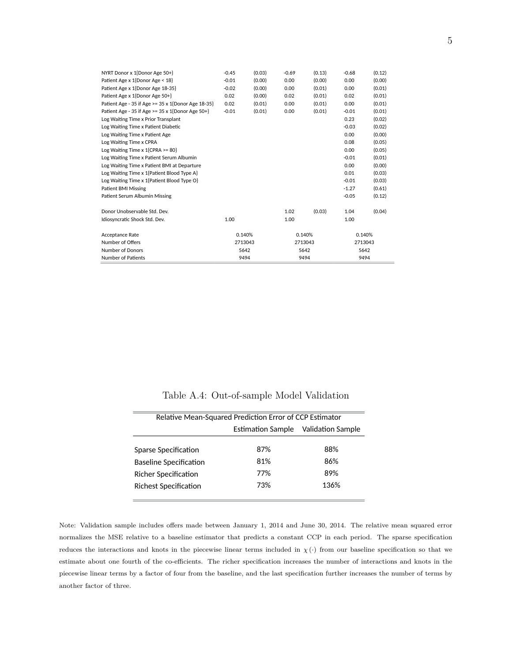| NYRT Donor x 1{Donor Age 50+}                      | $-0.45$ | (0.03)  | $-0.69$ | (0.13)  | $-0.68$ | (0.12)  |
|----------------------------------------------------|---------|---------|---------|---------|---------|---------|
| Patient Age x 1{Donor Age < 18}                    | $-0.01$ | (0.00)  | 0.00    | (0.00)  | 0.00    | (0.00)  |
| Patient Age x 1{Donor Age 18-35}                   | $-0.02$ | (0.00)  | 0.00    | (0.01)  | 0.00    | (0.01)  |
| Patient Age x 1{Donor Age 50+}                     | 0.02    | (0.00)  | 0.02    | (0.01)  | 0.02    | (0.01)  |
| Patient Age - 35 if Age >= 35 x 1{Donor Age 18-35} | 0.02    | (0.01)  | 0.00    | (0.01)  | 0.00    | (0.01)  |
| Patient Age - 35 if Age >= 35 x 1{Donor Age 50+}   | $-0.01$ | (0.01)  | 0.00    | (0.01)  | $-0.01$ | (0.01)  |
| Log Waiting Time x Prior Transplant                |         |         |         |         | 0.23    | (0.02)  |
| Log Waiting Time x Patient Diabetic                |         |         |         |         | $-0.03$ | (0.02)  |
| Log Waiting Time x Patient Age                     |         |         |         |         | 0.00    | (0.00)  |
| Log Waiting Time x CPRA                            |         |         |         |         | 0.08    | (0.05)  |
| Log Waiting Time x $1$ {CPRA >= 80}                |         |         |         |         | 0.00    | (0.05)  |
| Log Waiting Time x Patient Serum Albumin           |         |         |         |         | $-0.01$ | (0.01)  |
| Log Waiting Time x Patient BMI at Departure        |         |         |         |         | 0.00    | (0.00)  |
| Log Waiting Time x 1{Patient Blood Type A}         |         |         |         |         | 0.01    | (0.03)  |
| Log Waiting Time x 1{Patient Blood Type O}         |         |         |         |         | $-0.01$ | (0.03)  |
| <b>Patient BMI Missing</b>                         |         |         |         |         | $-1.27$ | (0.61)  |
| Patient Serum Albumin Missing                      |         |         |         |         | $-0.05$ | (0.12)  |
| Donor Unobservable Std. Dev.                       |         |         | 1.02    | (0.03)  | 1.04    | (0.04)  |
| Idiosyncratic Shock Std. Dev.                      | 1.00    |         | 1.00    |         | 1.00    |         |
| Acceptance Rate                                    |         | 0.140%  |         | 0.140%  |         | 0.140%  |
| Number of Offers                                   |         | 2713043 |         | 2713043 |         | 2713043 |
| <b>Number of Donors</b>                            |         | 5642    |         | 5642    |         | 5642    |
| <b>Number of Patients</b>                          |         | 9494    |         | 9494    |         | 9494    |

|  | Table A.4: Out-of-sample Model Validation |  |  |  |
|--|-------------------------------------------|--|--|--|
|--|-------------------------------------------|--|--|--|

|                               | Relative Mean-Squared Prediction Error of CCP Estimator |                   |  |  |  |
|-------------------------------|---------------------------------------------------------|-------------------|--|--|--|
|                               | Estimation Sample                                       | Validation Sample |  |  |  |
| Sparse Specification          | 87%                                                     | 88%               |  |  |  |
|                               |                                                         |                   |  |  |  |
| <b>Baseline Specification</b> | 81%                                                     | 86%               |  |  |  |
| <b>Richer Specification</b>   | 77%                                                     | 89%               |  |  |  |
| <b>Richest Specification</b>  | 73%                                                     | 136%              |  |  |  |
|                               |                                                         |                   |  |  |  |

Note: Validation sample includes offers made between January 1, 2014 and June 30, 2014. The relative mean squared error normalizes the MSE relative to a baseline estimator that predicts a constant CCP in each period. The sparse specification reduces the interactions and knots in the piecewise linear terms included in  $\chi(\cdot)$  from our baseline specification so that we estimate about one fourth of the co-efficients. The richer specification increases the number of interactions and knots in the piecewise linear terms by a factor of four from the baseline, and the last specification further increases the number of terms by another factor of three.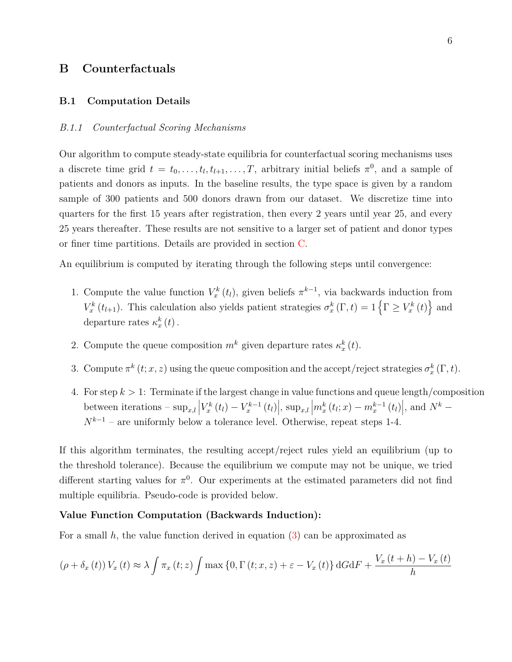# **B Counterfactuals**

#### **B.1 Computation Details**

#### *B.1.1 Counterfactual Scoring Mechanisms*

Our algorithm to compute steady-state equilibria for counterfactual scoring mechanisms uses a discrete time grid  $t = t_0, \ldots, t_l, t_{l+1}, \ldots, T$ , arbitrary initial beliefs  $\pi^0$ , and a sample of patients and donors as inputs. In the baseline results, the type space is given by a random sample of 300 patients and 500 donors drawn from our dataset. We discretize time into quarters for the first 15 years after registration, then every 2 years until year 25, and every 25 years thereafter. These results are not sensitive to a larger set of patient and donor types or finer time partitions. Details are provided in section [C.](#page-12-0)

An equilibrium is computed by iterating through the following steps until convergence:

- 1. Compute the value function  $V_x^k(t_l)$ , given beliefs  $\pi^{k-1}$ , via backwards induction from *V*<sup>*k*</sup>  $(t_{l+1})$ . This calculation also yields patient strategies  $\sigma_x^k(\Gamma, t) = 1$  { $\Gamma \ge V_x^k(t)$ } and departure rates  $\kappa_x^k(t)$ .
- 2. Compute the queue composition  $m^k$  given departure rates  $\kappa_x^k(t)$ .
- 3. Compute  $\pi^{k}(t; x, z)$  using the queue composition and the accept/reject strategies  $\sigma_{x}^{k}(\Gamma, t)$ .
- 4. For step *k >* 1: Terminate if the largest change in value functions and queue length/composition between iterations  $-\sup_{x,l} |V_x^k(t_l) - V_x^{k-1}(t_l)|$ ,  $\sup_{x,l} |m_x^k(t_l; x) - m_x^{k-1}(t_l)|$ , and  $N^k$  $N^{k-1}$  – are uniformly below a tolerance level. Otherwise, repeat steps 1-4.

If this algorithm terminates, the resulting accept/reject rules yield an equilibrium (up to the threshold tolerance). Because the equilibrium we compute may not be unique, we tried different starting values for  $\pi^0$ . Our experiments at the estimated parameters did not find multiple equilibria. Pseudo-code is provided below.

## **Value Function Computation (Backwards Induction):**

For a small *h*, the value function derived in equation [\(3\)](#page-0-0) can be approximated as

$$
(\rho + \delta_x(t)) V_x(t) \approx \lambda \int \pi_x(t; z) \int \max\{0, \Gamma(t; x, z) + \varepsilon - V_x(t)\} dG dF + \frac{V_x(t + h) - V_x(t)}{h}
$$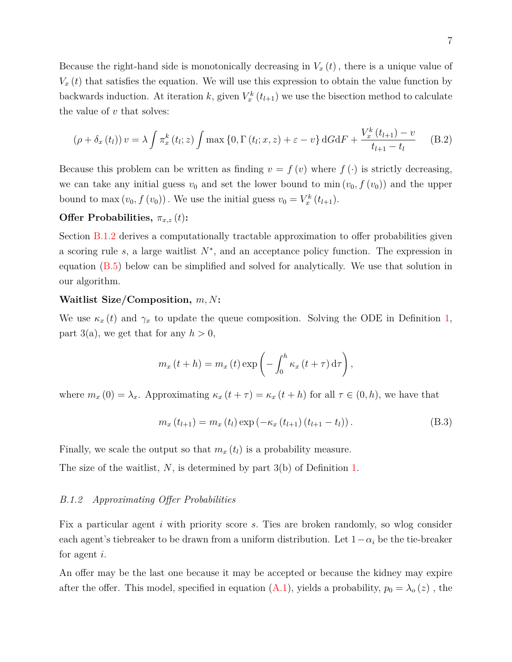Because the right-hand side is monotonically decreasing in  $V_x(t)$ , there is a unique value of  $V_x(t)$  that satisfies the equation. We will use this expression to obtain the value function by backwards induction. At iteration *k*, given  $V_x^k(t_{l+1})$  we use the bisection method to calculate the value of *v* that solves:

$$
(\rho + \delta_x(t_l)) v = \lambda \int \pi_x^k(t_l; z) \int \max\left\{0, \Gamma(t_l; x, z) + \varepsilon - v\right\} dG dF + \frac{V_x^k(t_{l+1}) - v}{t_{l+1} - t_l}
$$
(B.2)

Because this problem can be written as finding  $v = f(v)$  where  $f(\cdot)$  is strictly decreasing, we can take any initial guess  $v_0$  and set the lower bound to min  $(v_0, f(v_0))$  and the upper bound to max  $(v_0, f(v_0))$ . We use the initial guess  $v_0 = V_x^k(t_{l+1})$ .

## **Offer Probabilities,**  $\pi_{x,z}(t)$ :

Section [B.1.2](#page-6-0) derives a computationally tractable approximation to offer probabilities given a scoring rule *s*, a large waitlist *N*<sup>∗</sup> , and an acceptance policy function. The expression in equation [\(B.5\)](#page-9-0) below can be simplified and solved for analytically. We use that solution in our algorithm.

#### **Waitlist Size/Composition,** *m, N***:**

We use  $\kappa_x(t)$  and  $\gamma_x$  to update the queue composition. Solving the ODE in Definition [1,](#page-0-0) part 3(a), we get that for any  $h > 0$ ,

<span id="page-6-1"></span>
$$
m_x(t+h) = m_x(t) \exp\left(-\int_0^h \kappa_x(t+\tau) d\tau\right),\,
$$

where  $m_x(0) = \lambda_x$ . Approximating  $\kappa_x(t+\tau) = \kappa_x(t+h)$  for all  $\tau \in (0,h)$ , we have that

<span id="page-6-2"></span>
$$
m_x(t_{l+1}) = m_x(t_l) \exp(-\kappa_x(t_{l+1})(t_{l+1} - t_l)).
$$
\n(B.3)

Finally, we scale the output so that  $m_x(t_l)$  is a probability measure.

<span id="page-6-0"></span>The size of the waitlist, *N*, is determined by part 3(b) of Definition [1.](#page-0-0)

#### *B.1.2 Approximating Offer Probabilities*

Fix a particular agent *i* with priority score *s.* Ties are broken randomly, so wlog consider each agent's tiebreaker to be drawn from a uniform distribution. Let  $1-\alpha_i$  be the tie-breaker for agent *i*.

An offer may be the last one because it may be accepted or because the kidney may expire after the offer. This model, specified in equation  $(A.1)$ , yields a probability,  $p_0 = \lambda_o(z)$ , the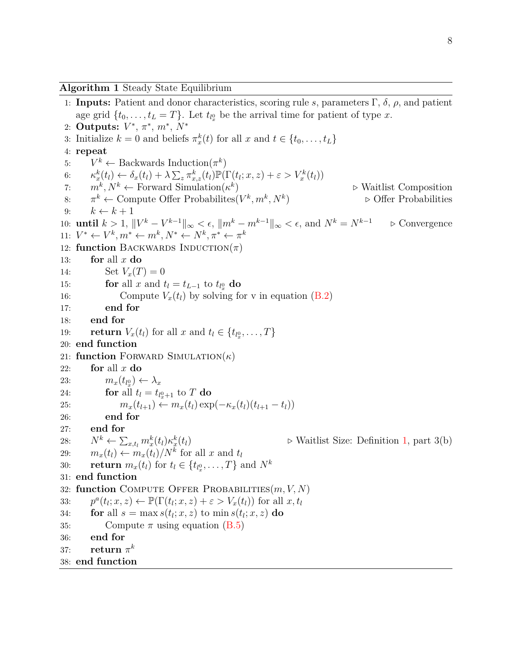1: **Inputs:** Patient and donor characteristics, scoring rule *s*, parameters Γ, *δ*, *ρ*, and patient age grid  $\{t_0, \ldots, t_L = T\}$ . Let  $t_{l_x^0}$  be the arrival time for patient of type *x*. 2: **Outputs:** *V* ∗ , *π* ∗ , *m*<sup>∗</sup> , *N*<sup>∗</sup> 3: Initialize  $k = 0$  and beliefs  $\pi_x^k(t)$  for all  $x$  and  $t \in \{t_0, \ldots, t_L\}$ 4: **repeat** 5:  $V^k \leftarrow$  Backwards Induction( $\pi^k$ ) 6:  $\kappa_x^k(t_l) \leftarrow \delta_x(t_l) + \lambda \sum_z \pi_{x,z}^k(t_l) \mathbb{P}(\Gamma(t_l; x, z) + \varepsilon > V_x^k(t_l))$ 7:  $m^k, N^k \leftarrow$  Forward Simulation( $\kappa^k$ ) *.* Waitlist Composition 8:  $\pi^k \leftarrow$  Compute Offer Probabilites( $V^k, m^k, N^k$ ) *.* Offer Probabilities 9:  $k \leftarrow k + 1$ 10: **until**  $k > 1$ ,  $||V^k - V^{k-1}||_{\infty} < \epsilon$ ,  $||m^k - m^{k-1}||_{\infty} < \epsilon$ , and  $N^k = N^{k-1}$   $\Rightarrow$  Convergence 11:  $V^* \leftarrow V^k, m^* \leftarrow m^k, N^* \leftarrow N^k, \pi^* \leftarrow \pi^k$ 12: **function** BACKWARDS  $INDUTION(\pi)$ 13: **for** all *x* **do** 14: Set  $V_x(T) = 0$ 15: **for** all *x* and  $t_l = t_{L-1}$  to  $t_{l_x^0}$  do 16: Compute  $V_x(t_l)$  by solving for v in equation  $(B.2)$ 17: **end for** 18: **end for** 19: **return**  $V_x(t_l)$  for all  $x$  and  $t_l \in \{t_{l_x^0}, \ldots, T\}$ 20: **end function** 21: **function** FORWARD SIMULATION $(\kappa)$ 22: **for** all *x* **do** 23:  $m_x(t_{l_x^0}) \leftarrow \lambda_x$ 24: **for** all  $t_l = t_{l_x^0+1}$  to  $T$  do 25:  $m_x(t_{l+1}) \leftarrow m_x(t_l) \exp(-\kappa_x(t_l)(t_{l+1} - t_l))$ 26: **end for** 27: **end for** 28:  $N^k \leftarrow \sum_{x,t_l} m^k_x(t_l) \kappa^k_x$  $\triangleright$  Waitlist Size: Definition [1,](#page-0-0) part 3(b) 29:  $m_x(t_l) \leftarrow m_x(t_l)/N^k$  for all *x* and  $t_l$ 30: **return**  $m_x(t_l)$  for  $t_l \in \{t_{l_x^0}, \ldots, T\}$  and  $N^k$ 31: **end function** 32: **function** Compute Offer Probabilities(*m, V, N*) 33: *p*  $P^a(t_l; x, z) \leftarrow \mathbb{P}(\Gamma(t_l; x, z) + \varepsilon > V_x(t_l))$  for all  $x, t_l$ 34: **for** all  $s = \max s(t_l; x, z)$  to  $\min s(t_l; x, z)$  do 35: Compute  $\pi$  using equation [\(B.5\)](#page-9-0) 36: **end for** 37: **return**  $\pi^k$ 38: **end function**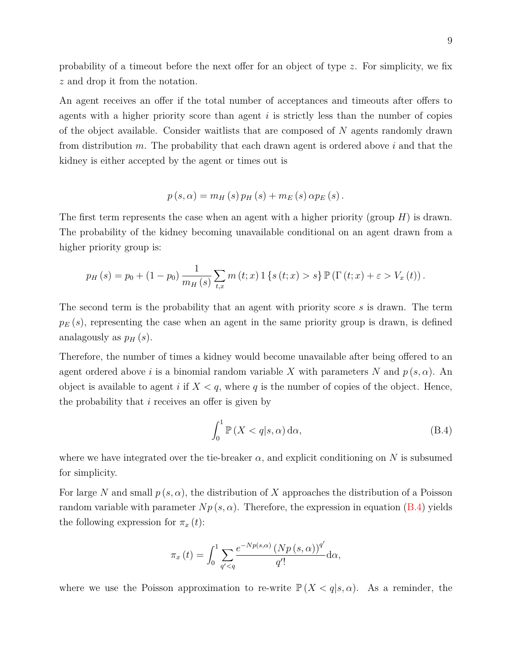probability of a timeout before the next offer for an object of type *z*. For simplicity, we fix *z* and drop it from the notation.

An agent receives an offer if the total number of acceptances and timeouts after offers to agents with a higher priority score than agent *i* is strictly less than the number of copies of the object available. Consider waitlists that are composed of *N* agents randomly drawn from distribution *m*. The probability that each drawn agent is ordered above *i* and that the kidney is either accepted by the agent or times out is

$$
p(s, \alpha) = m_H(s) p_H(s) + m_E(s) \alpha p_E(s).
$$

The first term represents the case when an agent with a higher priority (group *H*) is drawn. The probability of the kidney becoming unavailable conditional on an agent drawn from a higher priority group is:

$$
p_H(s) = p_0 + (1 - p_0) \frac{1}{m_H(s)} \sum_{t,x} m(t;x) 1 \{s(t;x) > s\} \mathbb{P}(\Gamma(t;x) + \varepsilon > V_x(t)).
$$

The second term is the probability that an agent with priority score *s* is drawn. The term  $p_E(s)$ , representing the case when an agent in the same priority group is drawn, is defined analagously as  $p_H(s)$ .

Therefore, the number of times a kidney would become unavailable after being offered to an agent ordered above *i* is a binomial random variable X with parameters N and  $p(s, \alpha)$ . An object is available to agent *i* if  $X < q$ , where q is the number of copies of the object. Hence, the probability that *i* receives an offer is given by

<span id="page-8-0"></span>
$$
\int_0^1 \mathbb{P}\left(X < q | s, \alpha\right) \mathrm{d}\alpha,\tag{B.4}
$$

where we have integrated over the tie-breaker  $\alpha$ , and explicit conditioning on N is subsumed for simplicity.

For large N and small  $p(s, \alpha)$ , the distribution of X approaches the distribution of a Poisson random variable with parameter  $Np(s, \alpha)$ . Therefore, the expression in equation [\(B.4\)](#page-8-0) yields the following expression for  $\pi_x(t)$ :

$$
\pi_x(t) = \int_0^1 \sum_{q' < q} \frac{e^{-Np(s,\alpha)} \left(Np\left(s,\alpha\right)\right)^{q'}}{q'!} \, \mathrm{d}\alpha,
$$

where we use the Poisson approximation to re-write  $\mathbb{P}(X < q|s,\alpha)$ . As a reminder, the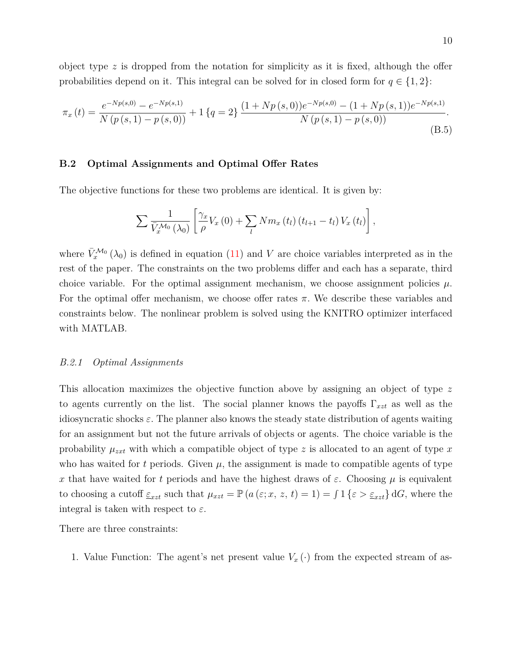object type *z* is dropped from the notation for simplicity as it is fixed, although the offer probabilities depend on it. This integral can be solved for in closed form for  $q \in \{1,2\}$ :

<span id="page-9-0"></span>
$$
\pi_x(t) = \frac{e^{-Np(s,0)} - e^{-Np(s,1)}}{N\left(p\left(s,1\right) - p\left(s,0\right)\right)} + 1\left\{q = 2\right\} \frac{\left(1 + Np\left(s,0\right)\right)e^{-Np(s,0)} - \left(1 + Np\left(s,1\right)\right)e^{-Np(s,1)}}{N\left(p\left(s,1\right) - p\left(s,0\right)\right)}.
$$
\n(B.5)

#### **B.2 Optimal Assignments and Optimal Offer Rates**

The objective functions for these two problems are identical. It is given by:

$$
\sum \frac{1}{\bar{V}_x^{\mathcal{M}_0}(\lambda_0)} \left[ \frac{\gamma_x}{\rho} V_x(0) + \sum_l N m_x(t_l) (t_{l+1} - t_l) V_x(t_l) \right],
$$

where  $\bar{V}_x^{\mathcal{M}_0}(\lambda_0)$  is defined in equation [\(11\)](#page-0-0) and *V* are choice variables interpreted as in the rest of the paper. The constraints on the two problems differ and each has a separate, third choice variable. For the optimal assignment mechanism, we choose assignment policies  $\mu$ . For the optimal offer mechanism, we choose offer rates  $\pi$ . We describe these variables and constraints below. The nonlinear problem is solved using the KNITRO optimizer interfaced with MATLAB.

#### *B.2.1 Optimal Assignments*

This allocation maximizes the objective function above by assigning an object of type *z* to agents currently on the list. The social planner knows the payoffs Γ*xzt* as well as the idiosyncratic shocks  $\varepsilon$ . The planner also knows the steady state distribution of agents waiting for an assignment but not the future arrivals of objects or agents. The choice variable is the probability  $\mu_{zxt}$  with which a compatible object of type *z* is allocated to an agent of type *x* who has waited for  $t$  periods. Given  $\mu$ , the assignment is made to compatible agents of type *x* that have waited for *t* periods and have the highest draws of  $\varepsilon$ . Choosing  $\mu$  is equivalent to choosing a cutoff  $\epsilon_{xzt}$  such that  $\mu_{xzt} = \mathbb{P}\left(a\left(\epsilon; x, z, t\right) = 1\right) = \int 1\left\{\epsilon > \epsilon_{xzt}\right\} dG$ , where the integral is taken with respect to *ε*.

There are three constraints:

1. Value Function: The agent's net present value  $V_x(\cdot)$  from the expected stream of as-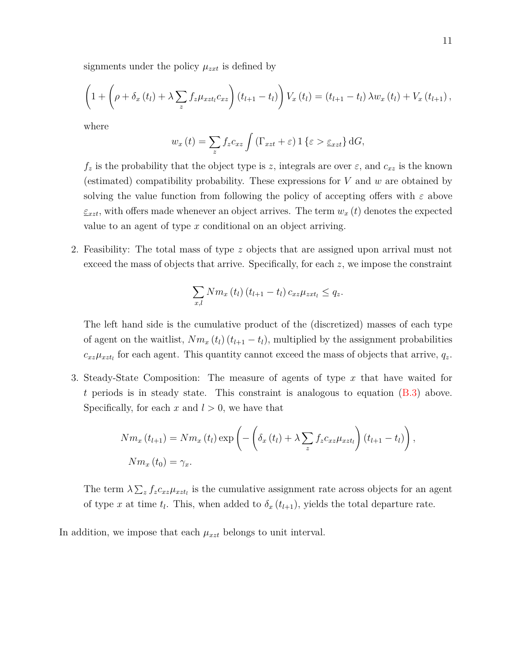signments under the policy  $\mu_{zxt}$  is defined by

$$
\left(1+\left(\rho+\delta_x\left(t_l\right)+\lambda\sum_z f_z\mu_{xzt_l}c_{xz}\right)\left(t_{l+1}-t_l\right)\right)V_x\left(t_l\right)=\left(t_{l+1}-t_l\right)\lambda w_x\left(t_l\right)+V_x\left(t_{l+1}\right),
$$

where

$$
w_x(t) = \sum_{z} f_z c_{xz} \int (\Gamma_{xzt} + \varepsilon) \, 1 \{ \varepsilon > \underline{\varepsilon}_{xzt} \} \, dG,
$$

 $f_z$  is the probability that the object type is *z*, integrals are over  $\varepsilon$ , and  $c_{xz}$  is the known (estimated) compatibility probability. These expressions for *V* and *w* are obtained by solving the value function from following the policy of accepting offers with *ε* above  $\varepsilon_{xzt}$ , with offers made whenever an object arrives. The term  $w_x(t)$  denotes the expected value to an agent of type *x* conditional on an object arriving.

2. Feasibility: The total mass of type *z* objects that are assigned upon arrival must not exceed the mass of objects that arrive. Specifically, for each *z*, we impose the constraint

$$
\sum_{x,l} Nm_x(t_l) (t_{l+1} - t_l) c_{xz} \mu_{zxt_l} \leq q_z.
$$

The left hand side is the cumulative product of the (discretized) masses of each type of agent on the waitlist,  $Nm_x(t_l)(t_{l+1}-t_l)$ , multiplied by the assignment probabilities  $c_{xz}\mu_{xzt}$  for each agent. This quantity cannot exceed the mass of objects that arrive,  $q_z$ .

3. Steady-State Composition: The measure of agents of type *x* that have waited for *t* periods is in steady state. This constraint is analogous to equation [\(B.3\)](#page-6-2) above. Specifically, for each  $x$  and  $l > 0$ , we have that

$$
Nm_x(t_{l+1}) = Nm_x(t_l) \exp\left(-\left(\delta_x(t_l) + \lambda \sum_z f_z c_{xz} \mu_{zzt_l}\right)(t_{l+1} - t_l)\right),\,
$$
  
\n
$$
Nm_x(t_0) = \gamma_x.
$$

The term  $\lambda \sum_{z} f_z c_{xz} \mu_{xzt}$  is the cumulative assignment rate across objects for an agent of type *x* at time  $t_l$ . This, when added to  $\delta_x(t_{l+1})$ , yields the total departure rate.

In addition, we impose that each  $\mu_{xzt}$  belongs to unit interval.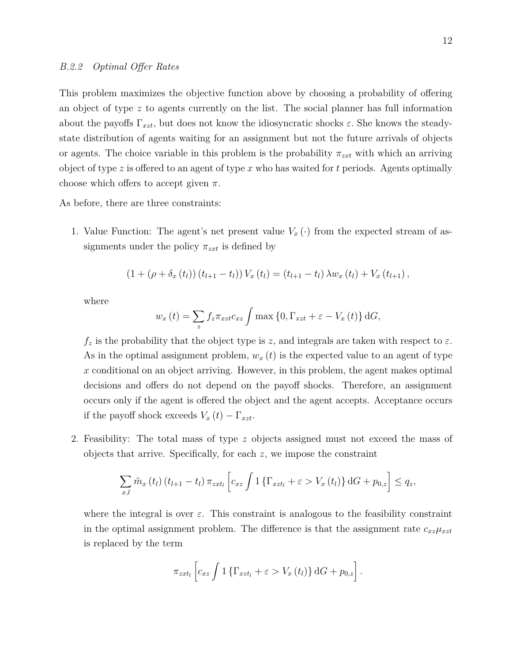This problem maximizes the objective function above by choosing a probability of offering an object of type *z* to agents currently on the list. The social planner has full information about the payoffs  $\Gamma_{xzt}$ , but does not know the idiosyncratic shocks  $\varepsilon$ . She knows the steadystate distribution of agents waiting for an assignment but not the future arrivals of objects or agents. The choice variable in this problem is the probability *πzxt* with which an arriving object of type *z* is offered to an agent of type *x* who has waited for *t* periods. Agents optimally choose which offers to accept given *π*.

As before, there are three constraints:

1. Value Function: The agent's net present value  $V_x(\cdot)$  from the expected stream of assignments under the policy  $\pi_{zxt}$  is defined by

$$
(1 + (\rho + \delta_x(t_l)) (t_{l+1} - t_l)) V_x(t_l) = (t_{l+1} - t_l) \lambda w_x(t_l) + V_x(t_{l+1}),
$$

where

$$
w_x(t) = \sum_{z} f_z \pi_{xzt} c_{xz} \int \max\left\{0, \Gamma_{xzt} + \varepsilon - V_x(t)\right\} dG,
$$

 $f_z$  is the probability that the object type is *z*, and integrals are taken with respect to  $\varepsilon$ . As in the optimal assignment problem,  $w_x(t)$  is the expected value to an agent of type *x* conditional on an object arriving. However, in this problem, the agent makes optimal decisions and offers do not depend on the payoff shocks. Therefore, an assignment occurs only if the agent is offered the object and the agent accepts. Acceptance occurs if the payoff shock exceeds  $V_x(t) - \Gamma_{xzt}$ .

2. Feasibility: The total mass of type *z* objects assigned must not exceed the mass of objects that arrive. Specifically, for each *z*, we impose the constraint

$$
\sum_{x,l} \tilde{m}_x(t_l) (t_{l+1} - t_l) \pi_{zxt_l} \left[ c_{xz} \int 1 \left\{ \Gamma_{xzt_l} + \varepsilon > V_x(t_l) \right\} dG + p_{0,z} \right] \le q_z,
$$

where the integral is over  $\varepsilon$ . This constraint is analogous to the feasibility constraint in the optimal assignment problem. The difference is that the assignment rate  $c_{xz}\mu_{xzt}$ is replaced by the term

$$
\pi_{zxt_l}\left[c_{xz}\int 1\left\{\Gamma_{xzt_l}+\varepsilon>V_x\left(t_l\right)\right\}\mathrm{d}G+p_{0,z}\right].
$$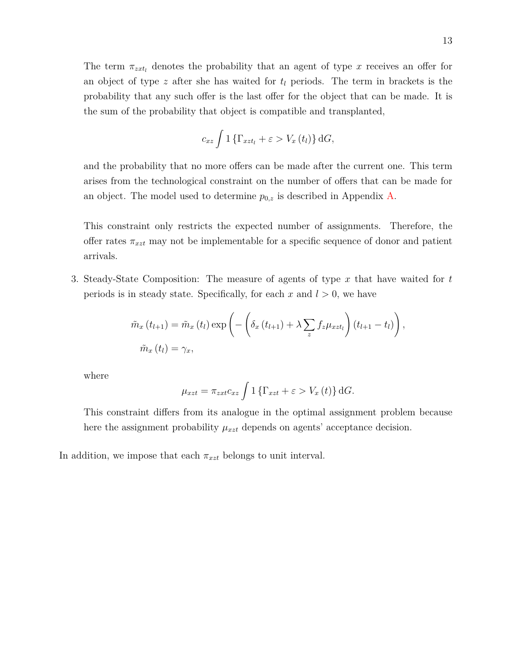The term  $\pi_{zxt_l}$  denotes the probability that an agent of type x receives an offer for an object of type *z* after she has waited for *t<sup>l</sup>* periods. The term in brackets is the probability that any such offer is the last offer for the object that can be made. It is the sum of the probability that object is compatible and transplanted,

$$
c_{xz} \int 1 \left\{ \Gamma_{xzt_l} + \varepsilon > V_x(t_l) \right\} dG,
$$

and the probability that no more offers can be made after the current one. This term arises from the technological constraint on the number of offers that can be made for an object. The model used to determine  $p_{0,z}$  is described in Appendix [A.](#page-0-1)

This constraint only restricts the expected number of assignments. Therefore, the offer rates  $\pi_{xzt}$  may not be implementable for a specific sequence of donor and patient arrivals.

3. Steady-State Composition: The measure of agents of type *x* that have waited for *t* periods is in steady state. Specifically, for each  $x$  and  $l > 0$ , we have

$$
\tilde{m}_x(t_{l+1}) = \tilde{m}_x(t_l) \exp\left(-\left(\delta_x(t_{l+1}) + \lambda \sum_z f_z \mu_{xzt_l}\right)(t_{l+1} - t_l)\right),
$$
  

$$
\tilde{m}_x(t_l) = \gamma_x,
$$

where

$$
\mu_{xzt} = \pi_{zxt} c_{xz} \int 1 \left\{ \Gamma_{xzt} + \varepsilon > V_x(t) \right\} dG.
$$

This constraint differs from its analogue in the optimal assignment problem because here the assignment probability  $\mu_{xzt}$  depends on agents' acceptance decision.

<span id="page-12-0"></span>In addition, we impose that each  $\pi_{xzt}$  belongs to unit interval.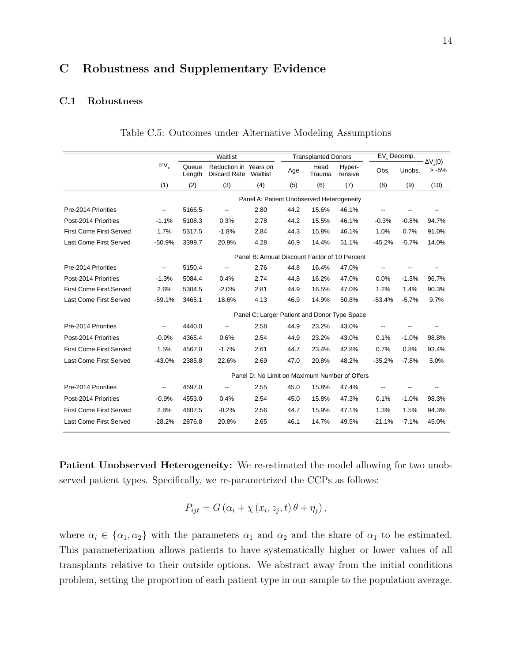# **C Robustness and Supplementary Evidence**

## <span id="page-13-0"></span>**C.1 Robustness**

|                                |                          |                 | Waitlist                                     |          |      | <b>Transplanted Donors</b>                    |                   | $EV_{x}$ Decomp. |         |                          |
|--------------------------------|--------------------------|-----------------|----------------------------------------------|----------|------|-----------------------------------------------|-------------------|------------------|---------|--------------------------|
|                                | EV <sub>y</sub>          | Oueue<br>Length | Reduction in Years on<br><b>Discard Rate</b> | Waitlist | Age  | Head<br>Trauma                                | Hyper-<br>tensive | Obs.             | Unobs.  | $\Delta V(0)$<br>$> -5%$ |
|                                | (1)                      | (2)             | (3)                                          | (4)      | (5)  | (6)                                           | (7)               | (8)              | (9)     | (10)                     |
|                                |                          |                 |                                              |          |      | Panel A: Patient Unobserved Heterogeneity     |                   |                  |         |                          |
| Pre-2014 Priorities            | $\overline{\phantom{a}}$ | 5166.5          |                                              | 2.80     | 44.2 | 15.6%                                         | 46.1%             |                  |         |                          |
| Post-2014 Priorities           | $-1.1%$                  | 5108.3          | 0.3%                                         | 2.78     | 44.2 | 15.5%                                         | 46.1%             | $-0.3%$          | $-0.8%$ | 94.7%                    |
| <b>First Come First Served</b> | 1.7%                     | 5317.5          | $-1.8%$                                      | 2.84     | 44.3 | 15.8%                                         | 46.1%             | 1.0%             | 0.7%    | 91.0%                    |
| Last Come First Served         | $-50.9%$                 | 3399.7          | 20.9%                                        | 4.28     | 46.9 | 14.4%                                         | 51.1%             | $-45.2%$         | $-5.7%$ | 14.0%                    |
|                                |                          |                 |                                              |          |      | Panel B: Annual Discount Factor of 10 Percent |                   |                  |         |                          |
| Pre-2014 Priorities            | $\overline{\phantom{a}}$ | 5150.4          | $\overline{\phantom{a}}$                     | 2.76     | 44.8 | 16.4%                                         | 47.0%             |                  |         |                          |
| Post-2014 Priorities           | $-1.3%$                  | 5084.4          | 0.4%                                         | 2.74     | 44.8 | 16.2%                                         | 47.0%             | 0.0%             | $-1.3%$ | 96.7%                    |
| <b>First Come First Served</b> | 2.6%                     | 5304.5          | $-2.0%$                                      | 2.81     | 44.9 | 16.5%                                         | 47.0%             | 1.2%             | 1.4%    | 90.3%                    |
| <b>Last Come First Served</b>  | $-59.1%$                 | 3465.1          | 18.6%                                        | 4.13     | 46.9 | 14.9%                                         | 50.8%             | $-53.4%$         | $-5.7%$ | 9.7%                     |
|                                |                          |                 |                                              |          |      | Panel C: Larger Patient and Donor Type Space  |                   |                  |         |                          |
| Pre-2014 Priorities            | $\overline{\phantom{a}}$ | 4440.0          | $\overline{\phantom{a}}$                     | 2.58     | 44.9 | 23.2%                                         | 43.0%             |                  |         |                          |
| Post-2014 Priorities           | $-0.9%$                  | 4365.4          | 0.6%                                         | 2.54     | 44.9 | 23.2%                                         | 43.0%             | 0.1%             | $-1.0%$ | 98.8%                    |
| <b>First Come First Served</b> | 1.5%                     | 4567.0          | $-1.7%$                                      | 2.61     | 44.7 | 23.4%                                         | 42.8%             | 0.7%             | 0.8%    | 93.4%                    |
| <b>Last Come First Served</b>  | $-43.0%$                 | 2385.8          | 22.6%                                        | 2.69     | 47.0 | 20.8%                                         | 48.2%             | $-35.2%$         | $-7.8%$ | 5.0%                     |
|                                |                          |                 |                                              |          |      | Panel D: No Limit on Maximum Number of Offers |                   |                  |         |                          |
| Pre-2014 Priorities            | $\overline{\phantom{a}}$ | 4597.0          |                                              | 2.55     | 45.0 | 15.8%                                         | 47.4%             |                  |         |                          |
| Post-2014 Priorities           | $-0.9%$                  | 4553.0          | 0.4%                                         | 2.54     | 45.0 | 15.8%                                         | 47.3%             | 0.1%             | $-1.0%$ | 98.3%                    |
| <b>First Come First Served</b> | 2.8%                     | 4607.5          | $-0.2%$                                      | 2.56     | 44.7 | 15.9%                                         | 47.1%             | 1.3%             | 1.5%    | 94.3%                    |
| <b>Last Come First Served</b>  | $-28.2%$                 | 2876.8          | 20.8%                                        | 2.65     | 46.1 | 14.7%                                         | 49.5%             | $-21.1%$         | $-7.1%$ | 45.0%                    |

Table C.5: Outcomes under Alternative Modeling Assumptions

**Patient Unobserved Heterogeneity:** We re-estimated the model allowing for two unobserved patient types. Specifically, we re-parametrized the CCPs as follows:

$$
P_{ijt} = G(\alpha_i + \chi(x_i, z_j, t) \theta + \eta_j),
$$

where  $\alpha_i \in \{\alpha_1, \alpha_2\}$  with the parameters  $\alpha_1$  and  $\alpha_2$  and the share of  $\alpha_1$  to be estimated. This parameterization allows patients to have systematically higher or lower values of all transplants relative to their outside options. We abstract away from the initial conditions problem, setting the proportion of each patient type in our sample to the population average.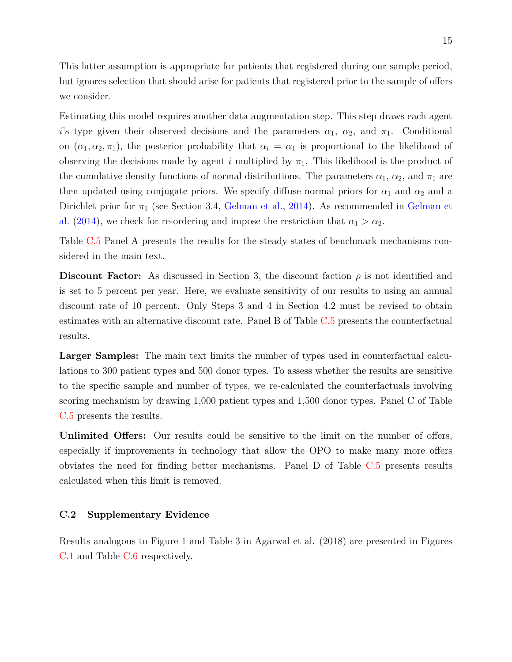This latter assumption is appropriate for patients that registered during our sample period, but ignores selection that should arise for patients that registered prior to the sample of offers we consider.

Estimating this model requires another data augmentation step. This step draws each agent *i*'s type given their observed decisions and the parameters  $\alpha_1$ ,  $\alpha_2$ , and  $\pi_1$ . Conditional on  $(\alpha_1, \alpha_2, \pi_1)$ , the posterior probability that  $\alpha_i = \alpha_1$  is proportional to the likelihood of observing the decisions made by agent *i* multiplied by  $\pi_1$ . This likelihood is the product of the cumulative density functions of normal distributions. The parameters  $\alpha_1$ ,  $\alpha_2$ , and  $\pi_1$  are then updated using conjugate priors. We specify diffuse normal priors for  $\alpha_1$  and  $\alpha_2$  and a Dirichlet prior for  $\pi_1$  (see Section 3.4, [Gelman et al.,](#page-25-0) [2014\)](#page-25-0). As recommended in [Gelman et](#page-25-0) [al.](#page-25-0) [\(2014\)](#page-25-0), we check for re-ordering and impose the restriction that  $\alpha_1 > \alpha_2$ .

Table [C.5](#page-13-0) Panel A presents the results for the steady states of benchmark mechanisms considered in the main text.

**Discount Factor:** As discussed in Section 3, the discount faction  $\rho$  is not identified and is set to 5 percent per year. Here, we evaluate sensitivity of our results to using an annual discount rate of 10 percent. Only Steps 3 and 4 in Section 4.2 must be revised to obtain estimates with an alternative discount rate. Panel B of Table [C.5](#page-13-0) presents the counterfactual results.

**Larger Samples:** The main text limits the number of types used in counterfactual calculations to 300 patient types and 500 donor types. To assess whether the results are sensitive to the specific sample and number of types, we re-calculated the counterfactuals involving scoring mechanism by drawing 1,000 patient types and 1,500 donor types. Panel C of Table [C.5](#page-13-0) presents the results.

**Unlimited Offers:** Our results could be sensitive to the limit on the number of offers, especially if improvements in technology that allow the OPO to make many more offers obviates the need for finding better mechanisms. Panel D of Table [C.5](#page-13-0) presents results calculated when this limit is removed.

## **C.2 Supplementary Evidence**

Results analogous to Figure 1 and Table 3 in Agarwal et al. (2018) are presented in Figures [C.1](#page-15-0) and Table [C.6](#page-15-1) respectively.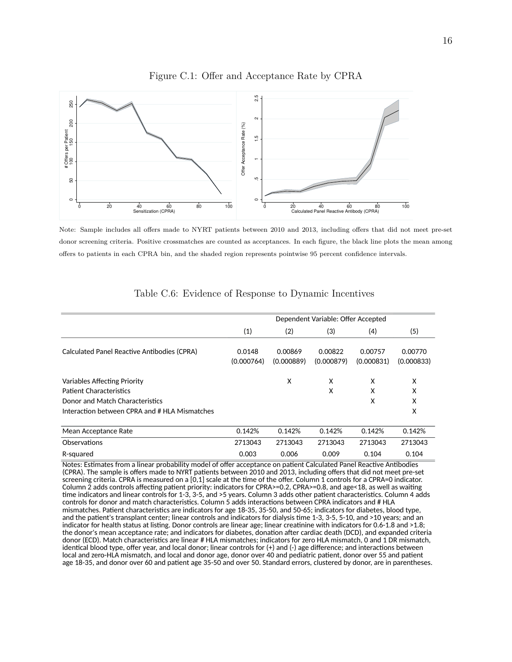<span id="page-15-0"></span>

Figure C.1: Offer and Acceptance Rate by CPRA

Note: Sample includes all offers made to NYRT patients between 2010 and 2013, including offers that did not meet pre-set donor screening criteria. Positive crossmatches are counted as acceptances. In each figure, the black line plots the mean among offers to patients in each CPRA bin, and the shaded region represents pointwise 95 percent confidence intervals.

<span id="page-15-1"></span>

|                                               |                      |                       | Dependent Variable: Offer Accepted |                       |                       |
|-----------------------------------------------|----------------------|-----------------------|------------------------------------|-----------------------|-----------------------|
|                                               | (1)                  | (2)                   | (3)                                | (4)                   | (5)                   |
| Calculated Panel Reactive Antibodies (CPRA)   | 0.0148<br>(0.000764) | 0.00869<br>(0.000889) | 0.00822<br>(0.000879)              | 0.00757<br>(0.000831) | 0.00770<br>(0.000833) |
| <b>Variables Affecting Priority</b>           |                      | X                     | X                                  | x                     | X                     |
| <b>Patient Characteristics</b>                |                      |                       | X                                  | X                     | X                     |
| Donor and Match Characteristics               |                      |                       |                                    | X                     | X                     |
| Interaction between CPRA and # HLA Mismatches |                      |                       |                                    |                       | X                     |
| Mean Acceptance Rate                          | 0.142%               | 0.142%                | 0.142%                             | 0.142%                | 0.142%                |
| Observations                                  | 2713043              | 2713043               | 2713043                            | 2713043               | 2713043               |
| R-squared                                     | 0.003                | 0.006                 | 0.009                              | 0.104                 | 0.104                 |

## Table C.6: Evidence of Response to Dynamic Incentives

Notes: Estimates from a linear probability model of offer acceptance on patient Calculated Panel Reactive Antibodies (CPRA). The sample is offers made to NYRT patients between 2010 and 2013, including offers that did not meet pre-set screening criteria. CPRA is measured on a [0,1] scale at the time of the offer. Column 1 controls for a CPRA=0 indicator. Column 2 adds controls affecting patient priority: indicators for CPRA>=0.2, CPRA>=0.8, and age<18, as well as waiting time indicators and linear controls for 1-3, 3-5, and >5 years. Column 3 adds other patient characteristics. Column 4 adds controls for donor and match characteristics. Column 5 adds interactions between CPRA indicators and # HLA mismatches. Patient characteristics are indicators for age 18-35, 35-50, and 50-65; indicators for diabetes, blood type, and the patient's transplant center; linear controls and indicators for dialysis time 1-3, 3-5, 5-10, and >10 years; and an indicator for health status at listing. Donor controls are linear age; linear creatinine with indicators for 0.6-1.8 and >1.8; the donor's mean acceptance rate; and indicators for diabetes, donation after cardiac death (DCD), and expanded criteria donor (ECD). Match characteristics are linear # HLA mismatches; indicators for zero HLA mismatch, 0 and 1 DR mismatch, identical blood type, offer year, and local donor; linear controls for (+) and (-) age difference; and interactions between local and zero-HLA mismatch, and local and donor age, donor over 40 and pediatric patient, donor over 55 and patient age 18-35, and donor over 60 and patient age 35-50 and over 50. Standard errors, clustered by donor, are in parentheses.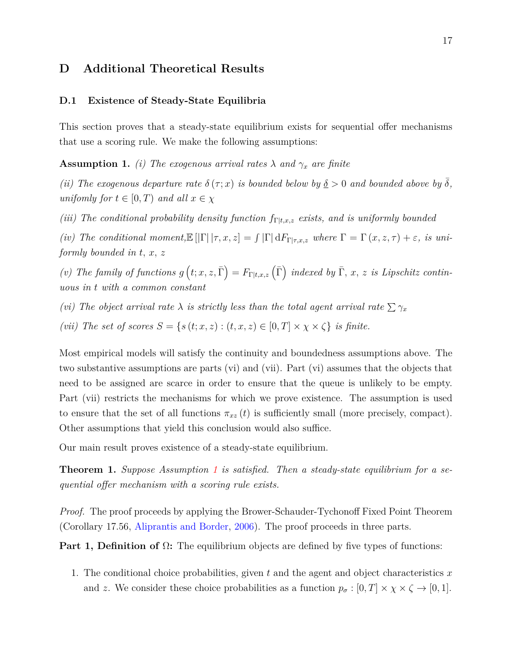# **D Additional Theoretical Results**

#### **D.1 Existence of Steady-State Equilibria**

This section proves that a steady-state equilibrium exists for sequential offer mechanisms that use a scoring rule. We make the following assumptions:

<span id="page-16-0"></span>**Assumption 1.** *(i)* The exogenous arrival rates  $\lambda$  and  $\gamma_x$  are finite

*(ii)* The exogenous departure rate  $\delta(\tau; x)$  *is bounded below by*  $\underline{\delta} > 0$  *and bounded above by*  $\delta$ *, unifomly for*  $t \in [0, T)$  *and all*  $x \in \chi$ 

*(iii)* The conditional probability density function  $f_{\Gamma | t,x,z}$  exists, and is uniformly bounded

*(iv)* The conditional moment, $\mathbb{E} [|\Gamma| | \tau, x, z] = \int |\Gamma| dF_{\Gamma | \tau, x, z}$  where  $\Gamma = \Gamma(x, z, \tau) + \varepsilon$ *, is uniformly bounded in t, x, z*

(*v*) The family of functions  $g(t; x, z, \overline{\Gamma}) = F_{\Gamma | t, x, z}(\overline{\Gamma})$  indexed by  $\overline{\Gamma}, x, z$  is Lipschitz contin*uous in t with a common constant*

*(vi)* The object arrival rate  $\lambda$  *is strictly less than the total agent arrival rate*  $\sum \gamma_x$ 

*(vii)* The set of scores  $S = \{s(t; x, z) : (t, x, z) \in [0, T] \times \chi \times \zeta\}$  is finite.

Most empirical models will satisfy the continuity and boundedness assumptions above. The two substantive assumptions are parts (vi) and (vii). Part (vi) assumes that the objects that need to be assigned are scarce in order to ensure that the queue is unlikely to be empty. Part (vii) restricts the mechanisms for which we prove existence. The assumption is used to ensure that the set of all functions  $\pi_{xz}(t)$  is sufficiently small (more precisely, compact). Other assumptions that yield this conclusion would also suffice.

Our main result proves existence of a steady-state equilibrium.

**Theorem 1.** *Suppose Assumption [1](#page-16-0) is satisfied. Then a steady-state equilibrium for a sequential offer mechanism with a scoring rule exists.*

*Proof.* The proof proceeds by applying the Brower-Schauder-Tychonoff Fixed Point Theorem (Corollary 17.56, [Aliprantis and Border,](#page-24-0) [2006\)](#page-24-0). The proof proceeds in three parts.

**Part 1, Definition of** Ω**:** The equilibrium objects are defined by five types of functions:

1. The conditional choice probabilities, given *t* and the agent and object characteristics *x* and *z*. We consider these choice probabilities as a function  $p_{\sigma} : [0, T] \times \chi \times \zeta \rightarrow [0, 1].$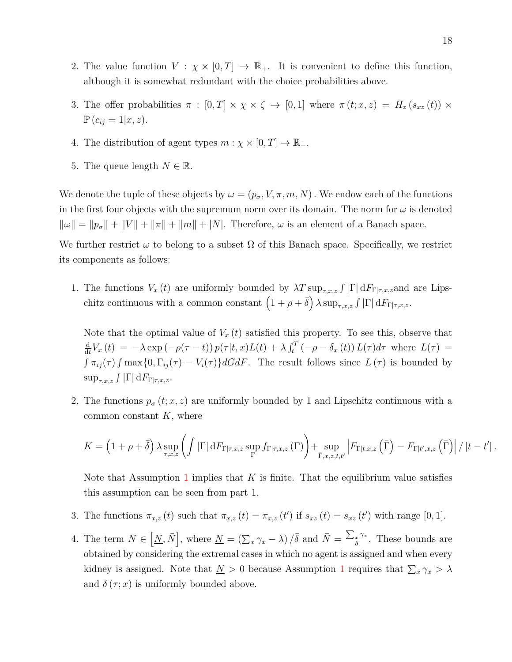- 2. The value function  $V : \chi \times [0,T] \to \mathbb{R}_+$ . It is convenient to define this function, although it is somewhat redundant with the choice probabilities above.
- 3. The offer probabilities  $\pi : [0, T] \times \chi \times \zeta \rightarrow [0, 1]$  where  $\pi (t; x, z) = H_z (s_{xz} (t)) \times$  $\mathbb{P}(c_{ij} = 1 | x, z).$
- 4. The distribution of agent types  $m : \chi \times [0, T] \to \mathbb{R}_+$ .
- 5. The queue length  $N \in \mathbb{R}$ .

We denote the tuple of these objects by  $\omega = (p_{\sigma}, V, \pi, m, N)$ . We endow each of the functions in the first four objects with the supremum norm over its domain. The norm for  $\omega$  is denoted  $\|\omega\| = \|p_{\sigma}\| + \|V\| + \|\pi\| + \|m\| + |N|.$  Therefore,  $\omega$  is an element of a Banach space.

We further restrict  $\omega$  to belong to a subset  $\Omega$  of this Banach space. Specifically, we restrict its components as follows:

1. The functions  $V_x(t)$  are uniformly bounded by  $\lambda T \sup_{\tau,x,z} \int |\Gamma| dF_{\Gamma|\tau,x,z}$  and are Lipschitz continuous with a common constant  $(1 + \rho + \bar{\delta}) \lambda \sup_{\tau,x,z} \int |\Gamma| dF_{\Gamma|\tau,x,z}$ .

Note that the optimal value of  $V_x(t)$  satisfied this property. To see this, observe that d  $\frac{d}{dt}V_x(t) = -\lambda \exp(-\rho(\tau - t)) p(\tau | t, x)L(t) + \lambda \int_t^T (-\rho - \delta_x(t)) L(\tau) d\tau$  where  $L(\tau)$  $\int \pi_{ij}(\tau) \int \max\{0, \Gamma_{ij}(\tau) - V_i(\tau)\} dG dF$ . The result follows since  $L(\tau)$  is bounded by  $\sup_{\tau,x,z}\int|\Gamma|\,\mathrm{d}F_{\Gamma|\tau,x,z}.$ 

2. The functions  $p_{\sigma}(t; x, z)$  are uniformly bounded by 1 and Lipschitz continuous with a common constant *K*, where

$$
K = \left(1 + \rho + \overline{\delta}\right) \lambda \sup_{\tau, x, z} \left( \int \left| \Gamma \right| dF_{\Gamma | \tau, x, z} \sup_{\Gamma} f_{\Gamma | \tau, x, z} \left( \Gamma \right) \right) + \sup_{\overline{\Gamma}, x, z, t, t'} \left| F_{\Gamma | t, x, z} \left( \overline{\Gamma} \right) - F_{\Gamma | t', x, z} \left( \overline{\Gamma} \right) \right| / \left| t - t' \right|.
$$

Note that Assumption [1](#page-16-0) implies that *K* is finite. That the equilibrium value satisfies this assumption can be seen from part 1.

- 3. The functions  $\pi_{x,z}(t)$  such that  $\pi_{x,z}(t) = \pi_{x,z}(t')$  if  $s_{xz}(t) = s_{xz}(t')$  with range [0, 1].
- 4. The term  $N \in [\underline{N}, \overline{N}]$ , where  $\underline{N} = (\sum_x \gamma_x \lambda) / \overline{\delta}$  and  $\overline{N} = \frac{\sum_x \gamma_x}{\delta}$ *δ* . These bounds are obtained by considering the extremal cases in which no agent is assigned and when every kidney is assigned. Note that  $\underline{N} > 0$  because Assumption [1](#page-16-0) requires that  $\sum_{x} \gamma_x > \lambda$ and  $\delta(\tau; x)$  is uniformly bounded above.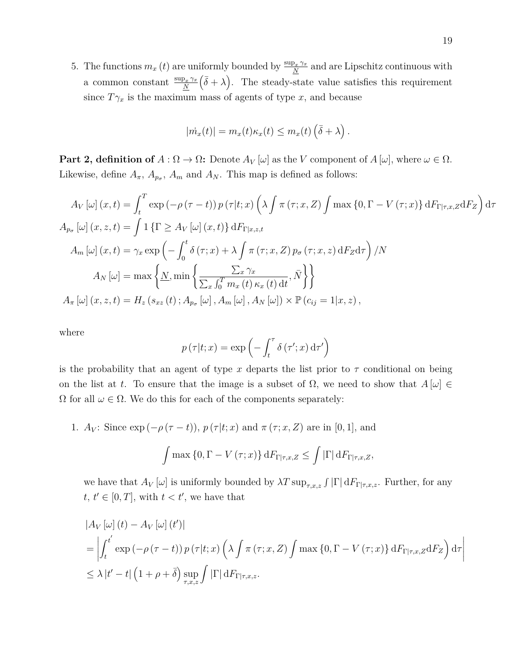5. The functions  $m_x(t)$  are uniformly bounded by  $\frac{\sup_x \gamma_x}{N}$  and are Lipschitz continuous with a common constant  $\frac{\sup_x \gamma_x}{N}$  $(\bar{\delta} + \lambda)$ . The steady-state value satisfies this requirement since  $T\gamma_x$  is the maximum mass of agents of type *x*, and because

$$
|\dot{m}_x(t)| = m_x(t)\kappa_x(t) \leq m_x(t) (\bar{\delta} + \lambda).
$$

**Part 2, definition of**  $A : \Omega \to \Omega$ : Denote  $A_V[\omega]$  as the *V* component of  $A[\omega]$ , where  $\omega \in \Omega$ . Likewise, define  $A_{\pi}$ ,  $A_{p_{\sigma}}$ ,  $A_{m}$  and  $A_{N}$ . This map is defined as follows:

$$
A_V [\omega](x, t) = \int_t^T \exp(-\rho(\tau - t)) p(\tau | t; x) \left(\lambda \int \pi(\tau; x, Z) \int \max\{0, \Gamma - V(\tau; x)\} dF_{\Gamma | \tau, x, Z} dF_Z\right) d\tau
$$
  
\n
$$
A_{p_\sigma} [\omega](x, z, t) = \int 1 \{ \Gamma \ge A_V [\omega](x, t) \} dF_{\Gamma | x, z, t}
$$
  
\n
$$
A_m [\omega](x, t) = \gamma_x \exp\left(-\int_0^t \delta(\tau; x) + \lambda \int \pi(\tau; x, Z) p_\sigma(\tau; x, z) dF_Z d\tau\right) / N
$$
  
\n
$$
A_N [\omega] = \max\left\{\underline{N}, \min\left\{\frac{\sum_x \gamma_x}{\sum_x \int_0^T m_x(t) \kappa_x(t) dt}, \overline{N}\right\}\right\}
$$
  
\n
$$
A_\pi [\omega](x, z, t) = H_z(s_{xz}(t); A_{p_\sigma} [\omega], A_m [\omega], A_N [\omega]) \times \mathbb{P}(c_{ij} = 1 | x, z),
$$

where

$$
p(\tau|t;x) = \exp\left(-\int_t^\tau \delta(\tau';x)\,\mathrm{d}\tau'\right)
$$

is the probability that an agent of type x departs the list prior to  $\tau$  conditional on being on the list at *t*. To ensure that the image is a subset of  $\Omega$ , we need to show that  $A[\omega] \in$  $\Omega$  for all  $\omega \in \Omega$ . We do this for each of the components separately:

1. *A<sub>V</sub>*: Since exp  $(-\rho(\tau - t))$ ,  $p(\tau|t; x)$  and  $\pi(\tau; x, Z)$  are in [0, 1], and

$$
\int \max\left\{0, \Gamma - V(\tau; x)\right\} dF_{\Gamma|\tau, x, Z} \leq \int |\Gamma| dF_{\Gamma|\tau, x, Z},
$$

we have that  $A_V[\omega]$  is uniformly bounded by  $\lambda T \sup_{\tau,x,z} \int |\Gamma| dF_{\Gamma|\tau,x,z}$ . Further, for any  $t, t' \in [0, T]$ , with  $t < t'$ , we have that

$$
\begin{aligned} &|A_V\left[\omega\right](t) - A_V\left[\omega\right](t')| \\ &= \left| \int_t^{t'} \exp\left(-\rho\left(\tau - t\right)\right) p\left(\tau|t; x\right) \left(\lambda \int \pi\left(\tau; x, Z\right) \int \max\left\{0, \Gamma - V\left(\tau; x\right)\right\} dF_{\Gamma|\tau, x, Z} dF_Z\right) d\tau \right| \\ &\leq \lambda \left| t' - t \right| \left(1 + \rho + \bar{\delta}\right) \sup_{\tau, x, z} \int \left| \Gamma \right| dF_{\Gamma|\tau, x, z}. \end{aligned}
$$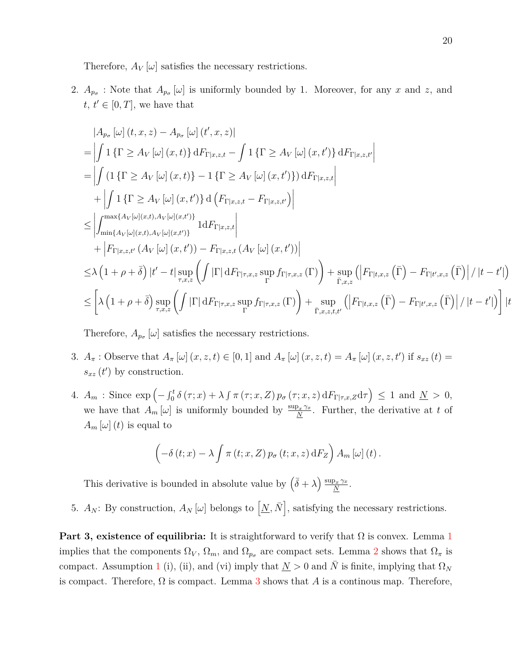Therefore,  $A_V[\omega]$  satisfies the necessary restrictions.

2.  $A_{p_{\sigma}}$ : Note that  $A_{p_{\sigma}}[\omega]$  is uniformly bounded by 1. Moreover, for any *x* and *z*, and  $t, t' \in [0, T]$ , we have that

$$
|A_{p_{\sigma}}[\omega](t, x, z) - A_{p_{\sigma}}[\omega](t', x, z)|
$$
  
\n=
$$
\left| \int 1 \{ \Gamma \ge A_V[\omega](x, t) \} dF_{\Gamma|x, z, t} - \int 1 \{ \Gamma \ge A_V[\omega](x, t') \} dF_{\Gamma|x, z, t'} \right|
$$
  
\n=
$$
\left| \int (1 \{ \Gamma \ge A_V[\omega](x, t) \} - 1 \{ \Gamma \ge A_V[\omega](x, t') \} ) dF_{\Gamma|x, z, t} \right|
$$
  
\n
$$
+ \left| \int 1 \{ \Gamma \ge A_V[\omega](x, t') \} d\left( F_{\Gamma|x, z, t} - F_{\Gamma|x, z, t'} \right) \right|
$$
  
\n
$$
\le \left| \int_{\min\{A_V[\omega](x, t), A_V[\omega](x, t')\}}^{\max\{A_V[\omega](x, t), A_V[\omega](x, t')\}} 1 dF_{\Gamma|x, z, t} \right|
$$
  
\n
$$
+ \left| F_{\Gamma|x, z, t'}(A_V[\omega](x, t')) - F_{\Gamma|x, z, t}(A_V[\omega](x, t')) \right|
$$
  
\n
$$
\le \lambda \left( 1 + \rho + \overline{\delta} \right) |t' - t| \sup_{\tau, x, z} \left( \int |\Gamma| dF_{\Gamma|\tau, x, z} \sup_{\Gamma} f_{\Gamma|\tau, x, z}(\Gamma) \right) + \sup_{\overline{\Gamma}, x, z} \left( \left| F_{\Gamma|x, x, z}(\overline{\Gamma}) - F_{\Gamma|x, x, z}(\overline{\Gamma}) \right| / |t - t'| \right)
$$
  
\n
$$
\le \left[ \lambda \left( 1 + \rho + \overline{\delta} \right) \sup_{\tau, x, z} \left( \int |\Gamma| dF_{\Gamma|\tau, x, z} \sup_{\Gamma} f_{\Gamma|\tau, x, z}(\Gamma) \right) + \sup_{\overline{\Gamma}, x, z, t, t'} \left( \left| F_{\Gamma|x, x, z}(\overline{\Gamma}) - F_{\Gamma|x, x, z}(\overline{\Gamma}) \right| / |t - t'| \right) \right] |t - t'|
$$

Therefore,  $A_{p_{\sigma}}[\omega]$  satisfies the necessary restrictions.

- 3.  $A_{\pi}$ : Observe that  $A_{\pi}[\omega](x, z, t) \in [0, 1]$  and  $A_{\pi}[\omega](x, z, t) = A_{\pi}[\omega](x, z, t')$  if  $s_{xz}(t) =$  $s_{xz}(t')$  by construction.
- 4.  $A_m$ : Since  $\exp\left(-\int_0^t \delta(\tau; x) + \lambda \int \pi(\tau; x, Z) p_{\sigma}(\tau; x, z) dF_{\Gamma | \tau, x, Z} d\tau\right) \leq 1$  and  $\underline{N} > 0$ , we have that  $A_m[\omega]$  is uniformly bounded by  $\frac{\sup_x \gamma_x}{N}$ . Further, the derivative at t of  $A_m[\omega](t)$  is equal to

$$
\left(-\delta(t;x)-\lambda\int\pi(t;x,Z)\,p_{\sigma}(t;x,z)\,\mathrm{d}F_Z\right)A_m\left[\omega\right](t).
$$

This derivative is bounded in absolute value by  $(\bar{\delta} + \lambda) \frac{\sup_x \gamma_x}{N}$  $\frac{\partial_x \, \gamma_x}{N}$  .

5.  $A_N$ : By construction,  $A_N[\omega]$  belongs to  $[\underline{N}, \overline{N}]$ , satisfying the necessary restrictions.

**Part 3, existence of equilibria:** It is straightforward to verify that  $\Omega$  is convex. Lemma [1](#page-20-0) implies that the components  $\Omega_V$ ,  $\Omega_m$ , and  $\Omega_{p_\sigma}$  are compact sets. Lemma [2](#page-21-0) shows that  $\Omega_\pi$  is compact. Assumption [1](#page-16-0) (i), (ii), and (vi) imply that  $N > 0$  and N is finite, implying that  $\Omega_N$ is compact. Therefore,  $\Omega$  is compact. Lemma [3](#page-21-1) shows that A is a continuous map. Therefore,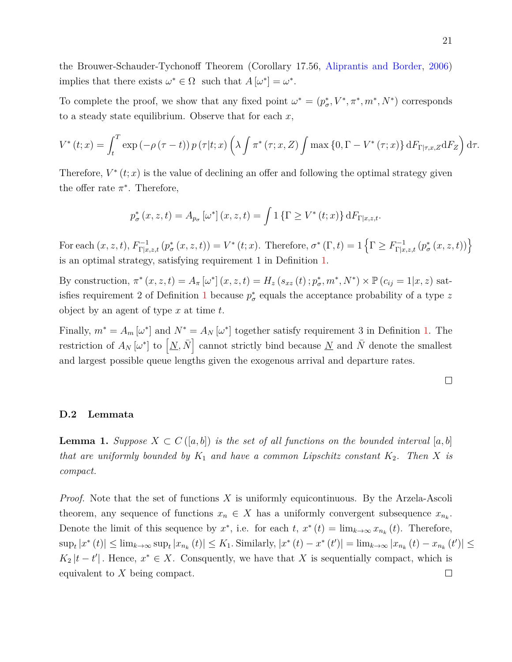the Brouwer-Schauder-Tychonoff Theorem (Corollary 17.56, [Aliprantis and Border,](#page-24-0) [2006\)](#page-24-0) implies that there exists  $\omega^* \in \Omega$  such that  $A[\omega^*] = \omega^*$ .

To complete the proof, we show that any fixed point  $\omega^* = (p^*, V^*, \pi^*, m^*, N^*)$  corresponds to a steady state equilibrium. Observe that for each *x*,

$$
V^*(t;x) = \int_t^T \exp\left(-\rho(\tau-t)\right) p(\tau|t;x) \left(\lambda \int \pi^*(\tau;x,Z) \int \max\left\{0,\Gamma-V^*(\tau;x)\right\} dF_{\Gamma|\tau,x,Z} dF_Z\right) d\tau.
$$

Therefore,  $V^*(t; x)$  is the value of declining an offer and following the optimal strategy given the offer rate  $\pi^*$ . Therefore,

$$
p_{\sigma}^{*}(x, z, t) = A_{p_{\sigma}}\left[\omega^{*}\right](x, z, t) = \int 1\left\{\Gamma \ge V^{*}(t; x)\right\} dF_{\Gamma|x, z, t}.
$$

For each  $(x, z, t)$ ,  $F_{\Gamma|x,z,t}^{-1}(p_{\sigma}^*(x, z, t)) = V^*(t; x)$ . Therefore,  $\sigma^*(\Gamma, t) = 1 \left\{ \Gamma \geq F_{\Gamma|x,z,t}^{-1}(p_{\sigma}^*(x, z, t)) \right\}$ is an optimal strategy, satisfying requirement 1 in Definition [1.](#page-0-0)

By construction,  $\pi^*(x, z, t) = A_{\pi} [\omega^*](x, z, t) = H_z(s_{xz}(t); p_{\sigma}^*, m^*, N^*) \times \mathbb{P}(c_{ij} = 1 | x, z)$  sat-isfies requirement 2 of Definition [1](#page-0-0) because  $p^*_{\sigma}$  equals the acceptance probability of a type z object by an agent of type *x* at time *t*.

Finally,  $m^* = A_m [\omega^*]$  and  $N^* = A_N [\omega^*]$  together satisfy requirement 3 in Definition [1.](#page-0-0) The restriction of  $A_N[\omega^*]$  to  $[\underline{N}, \overline{N}]$  cannot strictly bind because  $\underline{N}$  and  $\overline{N}$  denote the smallest and largest possible queue lengths given the exogenous arrival and departure rates.

#### **D.2 Lemmata**

<span id="page-20-0"></span>**Lemma 1.** *Suppose*  $X \subset C([a, b])$  *is the set of all functions on the bounded interval* [a, b] *that are uniformly bounded by*  $K_1$  *and have a common Lipschitz constant*  $K_2$ . Then X *is compact.*

*Proof.* Note that the set of functions *X* is uniformly equicontinuous. By the Arzela-Ascoli theorem, any sequence of functions  $x_n \in X$  has a uniformly convergent subsequence  $x_{n_k}$ . Denote the limit of this sequence by  $x^*$ , i.e. for each  $t$ ,  $x^*(t) = \lim_{k \to \infty} x_{n_k}(t)$ . Therefore,  $\sup_t |x^*(t)| \leq \lim_{k \to \infty} \sup_t |x_{n_k}(t)| \leq K_1$ . Similarly,  $|x^*(t) - x^*(t')| = \lim_{k \to \infty} |x_{n_k}(t) - x_{n_k}(t')| \leq$  $K_2 |t-t'|$ . Hence,  $x^* \in X$ . Consquently, we have that *X* is sequentially compact, which is equivalent to *X* being compact. $\Box$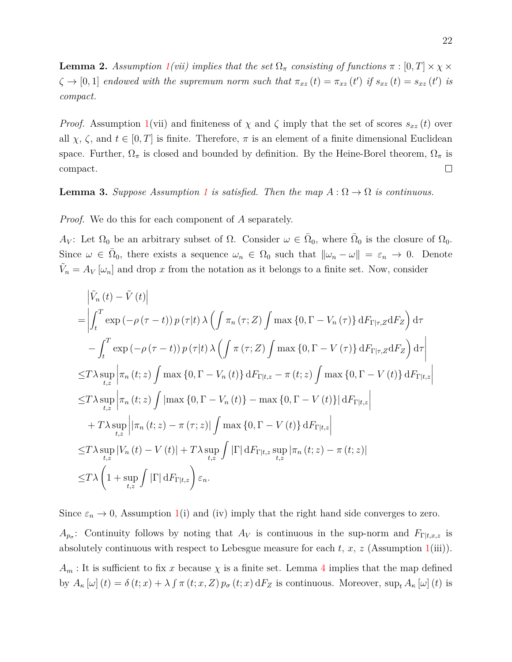<span id="page-21-0"></span>**Lemma 2.** *Assumption*  $1(vii)$  $1(vii)$  *implies that the set*  $\Omega_{\pi}$  *consisting of functions*  $\pi : [0, T] \times \chi \times$  $\zeta \to [0,1]$  *endowed with the supremum norm such that*  $\pi_{xz}(t) = \pi_{xz}(t')$  *if*  $s_{xz}(t) = s_{xz}(t')$  *is compact.*

*Proof.* Assumption [1\(](#page-16-0)vii) and finiteness of  $\chi$  and  $\zeta$  imply that the set of scores  $s_{xz}(t)$  over all  $\chi$ ,  $\zeta$ , and  $t \in [0, T]$  is finite. Therefore,  $\pi$  is an element of a finite dimensional Euclidean space. Further,  $\Omega_{\pi}$  is closed and bounded by definition. By the Heine-Borel theorem,  $\Omega_{\pi}$  is compact.  $\Box$ 

<span id="page-21-1"></span>**Lemma 3.** *Suppose Assumption* [1](#page-16-0) *is satisfied. Then the map*  $A: \Omega \to \Omega$  *is continuous.* 

*Proof.* We do this for each component of *A* separately.

*A*<sub>*V*</sub>: Let  $\Omega_0$  be an arbitrary subset of  $\Omega$ . Consider  $\omega \in \overline{\Omega}_0$ , where  $\overline{\Omega}_0$  is the closure of  $\Omega_0$ . Since  $\omega \in \overline{\Omega}_0$ , there exists a sequence  $\omega_n \in \Omega_0$  such that  $\|\omega_n - \omega\| = \varepsilon_n \to 0$ . Denote  $\tilde{V}_n = A_V [\omega_n]$  and drop *x* from the notation as it belongs to a finite set. Now, consider

$$
\begin{split}\n& \left| \tilde{V}_{n}(t) - \tilde{V}(t) \right| \\
& = \left| \int_{t}^{T} \exp\left( -\rho\left(\tau - t\right) \right) p\left(\tau | t\right) \lambda \left( \int \pi_{n}(\tau; Z) \int \max\left\{0, \Gamma - V_{n}(\tau)\right\} dF_{\Gamma | \tau, Z} dF_{Z} \right) d\tau \right. \\
& \left. - \int_{t}^{T} \exp\left( -\rho\left(\tau - t\right) \right) p\left(\tau | t\right) \lambda \left( \int \pi(\tau; Z) \int \max\left\{0, \Gamma - V(\tau)\right\} dF_{\Gamma | \tau, Z} dF_{Z} \right) d\tau \right| \\
& \leq & T\lambda \sup_{t, z} \left| \pi_{n}(t; z) \int \max\left\{0, \Gamma - V_{n}(t)\right\} dF_{\Gamma | t, z} - \pi(t; z) \int \max\left\{0, \Gamma - V(t)\right\} dF_{\Gamma | t, z} \right| \\
& \leq & T\lambda \sup_{t, z} \left| \pi_{n}(t; z) \int \left| \max\left\{0, \Gamma - V_{n}(t)\right\} - \max\left\{0, \Gamma - V(t)\right\} \right| dF_{\Gamma | t, z} \right| \\
& + & T\lambda \sup_{t, z} \left| \left| \pi_{n}(t; z) - \pi(\tau; z)\right| \int \max\left\{0, \Gamma - V(t)\right\} dF_{\Gamma | t, z} \right| \\
& \leq & T\lambda \sup_{t, z} |V_{n}(t) - V(t)| + T\lambda \sup_{t, z} \int \left| \Gamma \right| dF_{\Gamma | t, z} \sup_{t, z} \left| \pi_{n}(t; z) - \pi(t; z) \right| \\
& \leq & T\lambda \left(1 + \sup_{t, z} \int \left| \Gamma \right| dF_{\Gamma | t, z}\right) \varepsilon_{n}.\n\end{split}
$$

Since  $\varepsilon_n \to 0$ , Assumption [1\(](#page-16-0)i) and (iv) imply that the right hand side converges to zero.  $A_{p_{\sigma}}$ : Continuity follows by noting that  $A_V$  is continuous in the sup-norm and  $F_{\Gamma|t,x,z}$  is absolutely continuous with respect to Lebesgue measure for each *t, x, z* (Assumption [1\(](#page-16-0)iii)).  $A_m$ : It is sufficient to fix *x* because  $\chi$  is a finite set. Lemma [4](#page-22-0) implies that the map defined by  $A_{\kappa}[\omega](t) = \delta(t; x) + \lambda \int \pi(t; x, Z) p_{\sigma}(t; x) dF_Z$  is continuous. Moreover,  $\sup_{t} A_{\kappa}[\omega](t)$  is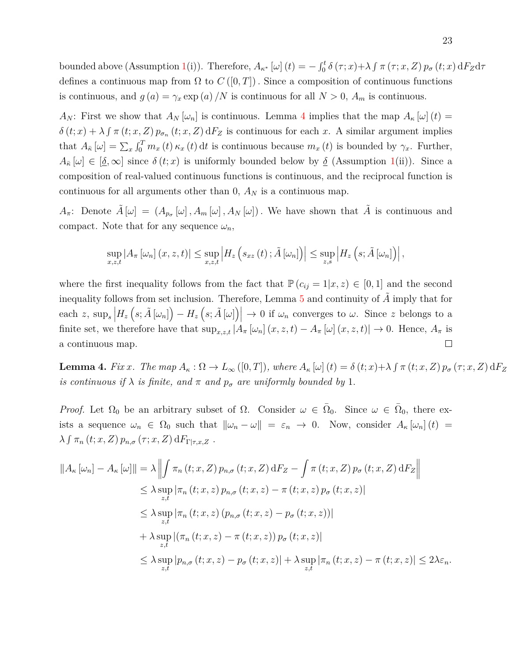bounded above (Assumption [1\(](#page-16-0)i)). Therefore,  $A_{\kappa^*}[\omega](t) = -\int_0^t \delta(\tau; x) + \lambda \int \pi(\tau; x, Z) p_{\sigma}(t; x) dF_Z d\tau$ defines a continuous map from  $\Omega$  to  $C([0,T])$ . Since a composition of continuous functions is continuous, and  $g(a) = \gamma_x \exp(a)/N$  is continuous for all  $N > 0$ ,  $A_m$  is continuous.

*A<sub>N</sub>*: First we show that  $A_N[\omega_n]$  is continuous. Lemma [4](#page-22-0) implies that the map  $A_k[\omega](t) =$  $\delta(t; x) + \lambda \int \pi(t; x, Z) p_{\sigma_n}(t; x, Z) dF_Z$  is continuous for each *x*. A similar argument implies that  $A_{\overline{\kappa}}[\omega] = \sum_x \int_0^T m_x(t) \kappa_x(t) dt$  is continuous because  $m_x(t)$  is bounded by  $\gamma_x$ . Further,  $A_{\overline{k}}[\omega] \in [\underline{\delta}, \infty]$  since  $\delta(t; x)$  is uniformly bounded below by <u> $\delta$ </u> (Assumption [1\(](#page-16-0)ii)). Since a composition of real-valued continuous functions is continuous, and the reciprocal function is continuous for all arguments other than  $0$ ,  $A_N$  is a continuous map.

*A*<sup>π</sup>: Denote  $\tilde{A}[\omega] = (A_{p_{\sigma}}[\omega], A_{m}[\omega], A_{N}[\omega])$ . We have shown that  $\tilde{A}$  is continuous and compact. Note that for any sequence  $\omega_n$ ,

$$
\sup_{x,z,t} |A_{\pi}[\omega_n](x,z,t)| \leq \sup_{x,z,t} |H_z(g_{xz}(t); \tilde{A}[\omega_n])| \leq \sup_{z,s} |H_z(g; \tilde{A}[\omega_n])|,
$$

where the first inequality follows from the fact that  $P(c_{ij} = 1|x, z) \in [0, 1]$  and the second inequality follows from set inclusion. Therefore, Lemma [5](#page-23-0) and continuity of A imply that for each *z*,  $\sup_s$   $\left|H_z\left(s; \tilde{A}[\omega_n]\right) - H_z\left(s; \tilde{A}[\omega]\right)\right| \to 0$  if  $\omega_n$  converges to  $\omega$ . Since *z* belongs to a finite set, we therefore have that  $\sup_{x,z,t} |A_\pi[\omega_n](x,z,t) - A_\pi[\omega](x,z,t)| \to 0$ . Hence,  $A_\pi$  is a continuous map.  $\Box$ 

<span id="page-22-0"></span>**Lemma 4.** Fix x. The map  $A_{\kappa} : \Omega \to L_{\infty}([0,T])$ , where  $A_{\kappa}[\omega](t) = \delta(t;x) + \lambda \int \pi(t;x,Z) p_{\sigma}(\tau;x,Z) dF_Z$ *is continuous if*  $\lambda$  *is finite, and*  $\pi$  *and*  $p_{\sigma}$  *are uniformly bounded by* 1*.* 

*Proof.* Let  $\Omega_0$  be an arbitrary subset of  $\Omega$ . Consider  $\omega \in \overline{\Omega}_0$ . Since  $\omega \in \overline{\Omega}_0$ , there exists a sequence  $\omega_n \in \Omega_0$  such that  $\|\omega_n - \omega\| = \varepsilon_n \to 0$ . Now, consider  $A_\kappa[\omega_n](t) =$  $\lambda \int \pi_n(t; x, Z) p_{n,\sigma}(\tau; x, Z) dF_{\Gamma|\tau, x, Z}$ .

$$
||A_{\kappa}[\omega_{n}] - A_{\kappa}[\omega]|| = \lambda \left\| \int \pi_{n}(t; x, Z) p_{n,\sigma}(t; x, Z) dF_{Z} - \int \pi(t; x, Z) p_{\sigma}(t; x, Z) dF_{Z} \right\|
$$
  
\n
$$
\leq \lambda \sup_{z,t} |\pi_{n}(t; x, z) p_{n,\sigma}(t; x, z) - \pi(t; x, z) p_{\sigma}(t; x, z)|
$$
  
\n
$$
\leq \lambda \sup_{z,t} |\pi_{n}(t; x, z) (p_{n,\sigma}(t; x, z) - p_{\sigma}(t; x, z))|
$$
  
\n
$$
+ \lambda \sup_{z,t} |(\pi_{n}(t; x, z) - \pi(t; x, z)) p_{\sigma}(t; x, z)|
$$
  
\n
$$
\leq \lambda \sup_{z,t} |p_{n,\sigma}(t; x, z) - p_{\sigma}(t; x, z)| + \lambda \sup_{z,t} |\pi_{n}(t; x, z) - \pi(t; x, z)| \leq 2\lambda \varepsilon_{n}.
$$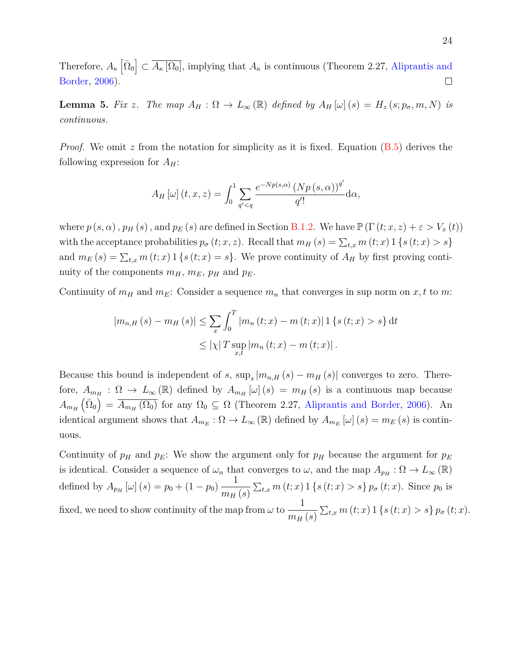Therefore,  $A_{\kappa}[\bar{\Omega}_0] \subset \overline{A_{\kappa}[\Omega_0]}$ , implying that  $A_{\kappa}$  is continuous (Theorem 2.27, [Aliprantis and](#page-24-0) [Border,](#page-24-0) [2006\)](#page-24-0).  $\Box$ 

<span id="page-23-0"></span>**Lemma 5.** Fix z. The map  $A_H: \Omega \to L_\infty(\mathbb{R})$  defined by  $A_H[\omega](s) = H_z(s; p_\sigma, m, N)$  is *continuous.*

*Proof.* We omit *z* from the notation for simplicity as it is fixed. Equation [\(B.5\)](#page-9-0) derives the following expression for *AH*:

$$
A_H\left[\omega\right](t,x,z) = \int_0^1 \sum_{q' < q} \frac{e^{-Np(s,\alpha)}\left(Np\left(s,\alpha\right)\right)^{q'}}{q'!} \mathrm{d}\alpha,
$$

where  $p(s, \alpha)$ ,  $p_H(s)$ , and  $p_E(s)$  are defined in Section [B.1.2.](#page-6-0) We have  $\mathbb{P}(\Gamma(t; x, z) + \varepsilon > V_x(t))$ with the acceptance probabilities  $p_{\sigma}(t; x, z)$ . Recall that  $m_H(s) = \sum_{t,x} m(t; x) 1 \{s(t; x) > s\}$ and  $m_E(s) = \sum_{t,x} m(t;x) 1 \{s(t;x) = s\}$ . We prove continuity of  $A_H$  by first proving continuity of the components  $m_H$ ,  $m_E$ ,  $p_H$  and  $p_E$ .

Continuity of  $m_H$  and  $m_E$ : Consider a sequence  $m_n$  that converges in sup norm on x, t to m:

$$
|m_{n,H}(s) - m_H(s)| \le \sum_{x} \int_0^T |m_n(t;x) - m(t;x)| \, 1 \{s(t;x) > s\} \, \mathrm{d}t
$$
  

$$
\le |x| T \sup_{x,t} |m_n(t;x) - m(t;x)|.
$$

Because this bound is independent of *s*,  $\sup_s |m_{n,H}(s) - m_H(s)|$  converges to zero. Therefore,  $A_{m_H}$ :  $\Omega \to L_\infty(\mathbb{R})$  defined by  $A_{m_H}[\omega](s) = m_H(s)$  is a continuous map because  $A_{m_H}(\bar{\Omega}_0) = \overline{A_{m_H}(\Omega_0)}$  for any  $\Omega_0 \subseteq \Omega$  (Theorem 2.27, [Aliprantis and Border,](#page-24-0) [2006\)](#page-24-0). An identical argument shows that  $A_{m_E}$ :  $\Omega \to L_\infty(\mathbb{R})$  defined by  $A_{m_E}$  [ $\omega$ ] (*s*) =  $m_E(s)$  is continuous.

Continuity of  $p_H$  and  $p_E$ : We show the argument only for  $p_H$  because the argument for  $p_E$ is identical. Consider a sequence of  $\omega_n$  that converges to  $\omega$ , and the map  $A_{p_H} : \Omega \to L_\infty(\mathbb{R})$ defined by  $A_{p_H} [\omega](s) = p_0 + (1 - p_0) \frac{1}{m}$  $\frac{1}{m_H(s)} \sum_{t,x} m(t;x) 1 \{s(t;x) > s\} p_{\sigma}(t;x)$ . Since  $p_0$  is fixed, we need to show continuity of the map from *ω* to 1  $\frac{1}{m_H(s)} \sum_{t,x} m(t;x) \mathbb{1} \{s(t;x) > s\} p_{\sigma}(t;x).$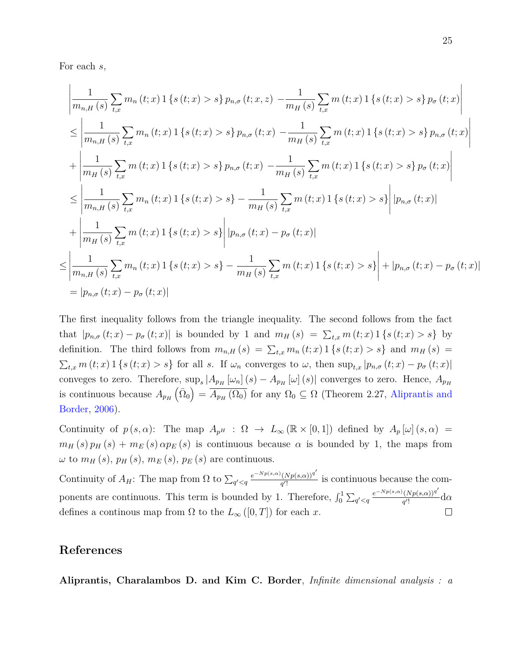For each *s*,

$$
\left| \frac{1}{m_{n,H}(s)} \sum_{t,x} m_n(t;x) \mathbf{1} \left\{ s(t;x) > s \right\} p_{n,\sigma}(t;x,z) - \frac{1}{m_H(s)} \sum_{t,x} m(t;x) \mathbf{1} \left\{ s(t;x) > s \right\} p_{\sigma}(t;x) \right|
$$
\n
$$
\leq \left| \frac{1}{m_{n,H}(s)} \sum_{t,x} m_n(t;x) \mathbf{1} \left\{ s(t;x) > s \right\} p_{n,\sigma}(t;x) - \frac{1}{m_H(s)} \sum_{t,x} m(t;x) \mathbf{1} \left\{ s(t;x) > s \right\} p_{n,\sigma}(t;x) \right|
$$
\n
$$
+ \left| \frac{1}{m_H(s)} \sum_{t,x} m(t;x) \mathbf{1} \left\{ s(t;x) > s \right\} p_{n,\sigma}(t;x) - \frac{1}{m_H(s)} \sum_{t,x} m(t;x) \mathbf{1} \left\{ s(t;x) > s \right\} p_{\sigma}(t;x) \right|
$$
\n
$$
\leq \left| \frac{1}{m_{n,H}(s)} \sum_{t,x} m_n(t;x) \mathbf{1} \left\{ s(t;x) > s \right\} - \frac{1}{m_H(s)} \sum_{t,x} m(t;x) \mathbf{1} \left\{ s(t;x) > s \right\} \right| |p_{n,\sigma}(t;x)|
$$
\n
$$
+ \left| \frac{1}{m_H(s)} \sum_{t,x} m(t;x) \mathbf{1} \left\{ s(t;x) > s \right\} \right| |p_{n,\sigma}(t;x) - p_{\sigma}(t;x)|
$$
\n
$$
\leq \left| \frac{1}{m_{n,H}(s)} \sum_{t,x} m_n(t;x) \mathbf{1} \left\{ s(t;x) > s \right\} - \frac{1}{m_H(s)} \sum_{t,x} m(t;x) \mathbf{1} \left\{ s(t;x) > s \right\} \right| + |p_{n,\sigma}(t;x) - p_{\sigma}(t;x)|
$$
\n
$$
= |p_{n,\sigma}(t;x) - p_{\sigma}(t;x)|
$$

The first inequality follows from the triangle inequality. The second follows from the fact that  $|p_{n,\sigma}(t;x)-p_{\sigma}(t;x)|$  is bounded by 1 and  $m_H(s) = \sum_{t,x} m(t;x) 1 \{s(t;x) > s\}$  by definition. The third follows from  $m_{n,H}(s) = \sum_{t,x} m_n(t;x) 1 \{s(t;x) > s\}$  and  $m_H(s) =$  $\sum_{t,x} m(t;x) 1 \{s(t;x) > s\}$  for all s. If  $\omega_n$  converges to  $\omega$ , then  $\sup_{t,x} |p_{n,\sigma}(t;x) - p_{\sigma}(t;x)|$ conveges to zero. Therefore,  $\sup_s |A_{p_H}[\omega_n](s) - A_{p_H}[\omega](s)|$  converges to zero. Hence,  $A_{p_H}$ is continuous because  $A_{p_H}(\bar{\Omega}_0) = \overline{A_{p_H}(\Omega_0)}$  for any  $\Omega_0 \subseteq \Omega$  (Theorem 2.27, [Aliprantis and](#page-24-0) [Border,](#page-24-0) [2006\)](#page-24-0).

Continuity of  $p(s, \alpha)$ : The map  $A_{p^H}$  :  $\Omega \to L_\infty(\mathbb{R} \times [0,1])$  defined by  $A_p[\omega](s, \alpha) =$  $m_H(s) p_H(s) + m_E(s) \alpha p_E(s)$  is continuous because  $\alpha$  is bounded by 1, the maps from  $\omega$  to  $m_H(s)$ ,  $p_H(s)$ ,  $m_E(s)$ ,  $p_E(s)$  are continuous.

 $e^{-Np(s,\alpha)}(Np(s,\alpha))^{q'}$ Continuity of  $A_H$ : The map from  $\Omega$  to  $\sum_{q' < q}$  $\frac{(Np(s,\alpha))^4}{q}$  is continuous because the com $e^{-Np(s,\alpha)}(Np(s,\alpha))^{q'}$ ponents are continuous. This term is bounded by 1. Therefore,  $\int_0^1 \sum_{q' < q}$  $\frac{(Np(s,\alpha))^n}{q}$ d $\alpha$ defines a continous map from  $\Omega$  to the  $L_{\infty}([0, T])$  for each *x*.  $\Box$ 

## **References**

<span id="page-24-0"></span>**Aliprantis, Charalambos D. and Kim C. Border**, *Infinite dimensional analysis : a*